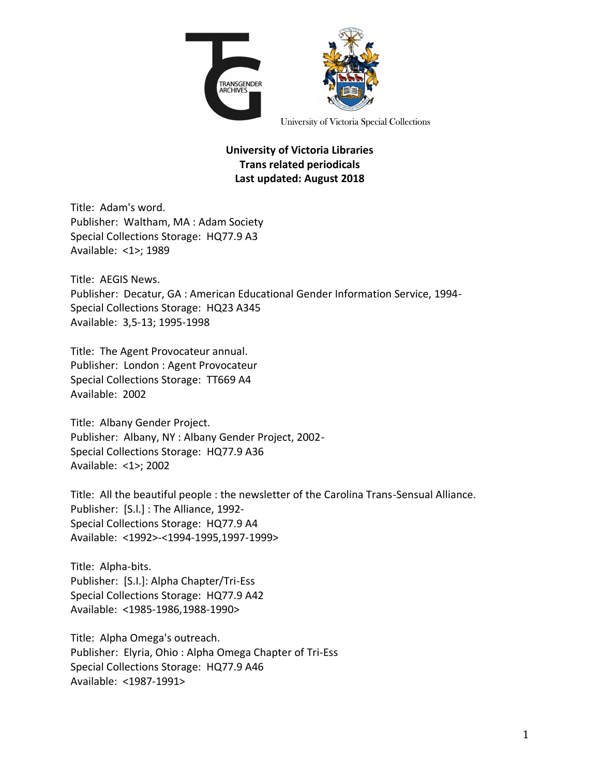

University of Victoria Special Collections

## **University of Victoria Libraries Trans related periodicals Last updated: August 2018**

Title: Adam's word. Publisher: Waltham, MA : Adam Society Special Collections Storage: HQ77.9 A3 Available: <1>; 1989

Title: AEGIS News. Publisher: Decatur, GA : American Educational Gender Information Service, 1994- Special Collections Storage: HQ23 A345 Available: 3,5-13; 1995-1998

Title: The Agent Provocateur annual. Publisher: London : Agent Provocateur Special Collections Storage: TT669 A4 Available: 2002

Title: Albany Gender Project. Publisher: Albany, NY : Albany Gender Project, 2002- Special Collections Storage: HQ77.9 A36 Available: <1>; 2002

Title: All the beautiful people : the newsletter of the Carolina Trans-Sensual Alliance. Publisher: [S.l.] : The Alliance, 1992- Special Collections Storage: HQ77.9 A4 Available: <1992>-<1994-1995,1997-1999>

Title: Alpha-bits. Publisher: [S.I.]: Alpha Chapter/Tri-Ess Special Collections Storage: HQ77.9 A42 Available: <1985-1986,1988-1990>

Title: Alpha Omega's outreach. Publisher: Elyria, Ohio : Alpha Omega Chapter of Tri-Ess Special Collections Storage: HQ77.9 A46 Available: <1987-1991>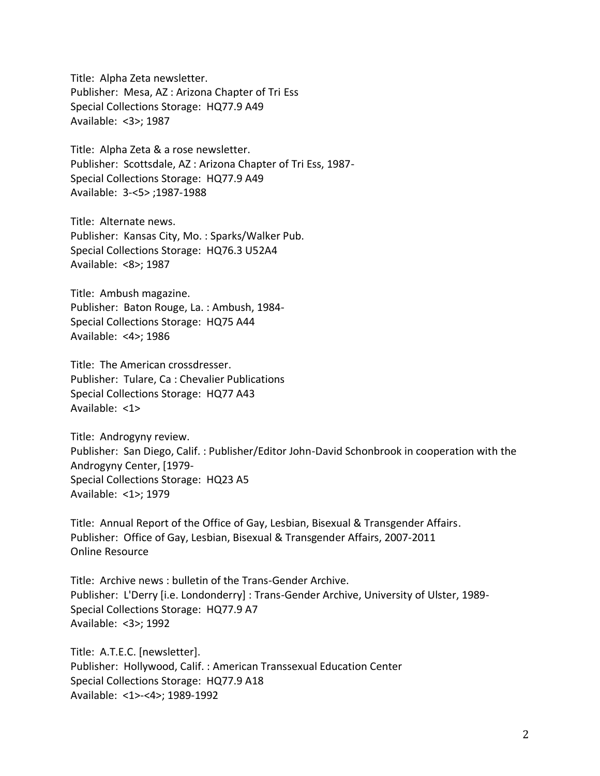Title: Alpha Zeta newsletter. Publisher: Mesa, AZ : Arizona Chapter of Tri Ess Special Collections Storage: HQ77.9 A49 Available: <3>; 1987

Title: Alpha Zeta & a rose newsletter. Publisher: Scottsdale, AZ : Arizona Chapter of Tri Ess, 1987- Special Collections Storage: HQ77.9 A49 Available: 3-<5> ;1987-1988

Title: Alternate news. Publisher: Kansas City, Mo. : Sparks/Walker Pub. Special Collections Storage: HQ76.3 U52A4 Available: <8>; 1987

Title: Ambush magazine. Publisher: Baton Rouge, La. : Ambush, 1984- Special Collections Storage: HQ75 A44 Available: <4>; 1986

Title: The American crossdresser. Publisher: Tulare, Ca : Chevalier Publications Special Collections Storage: HQ77 A43 Available: <1>

Title: Androgyny review. Publisher: San Diego, Calif. : Publisher/Editor John-David Schonbrook in cooperation with the Androgyny Center, [1979- Special Collections Storage: HQ23 A5 Available: <1>; 1979

Title: Annual Report of the Office of Gay, Lesbian, Bisexual & Transgender Affairs. Publisher: Office of Gay, Lesbian, Bisexual & Transgender Affairs, 2007-2011 Online Resource

Title: Archive news : bulletin of the Trans-Gender Archive. Publisher: L'Derry [i.e. Londonderry] : Trans-Gender Archive, University of Ulster, 1989- Special Collections Storage: HQ77.9 A7 Available: <3>; 1992

Title: A.T.E.C. [newsletter]. Publisher: Hollywood, Calif. : American Transsexual Education Center Special Collections Storage: HQ77.9 A18 Available: <1>-<4>; 1989-1992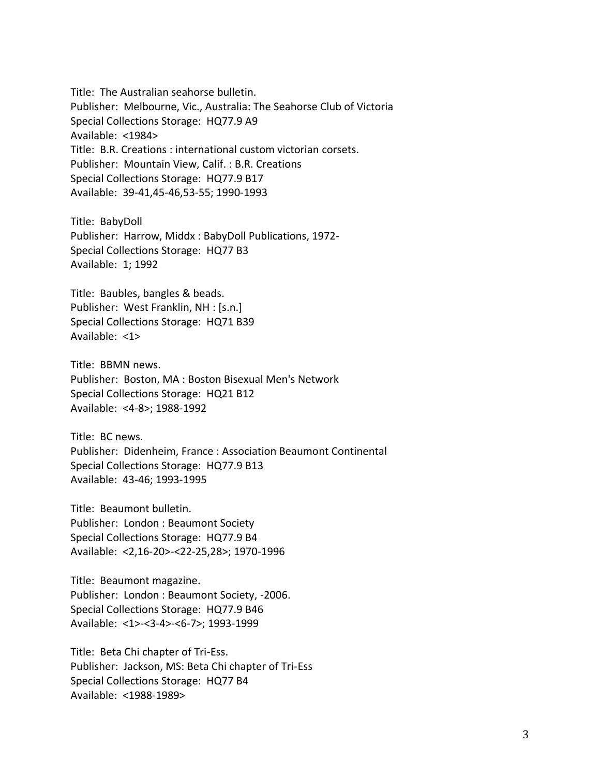Title: The Australian seahorse bulletin. Publisher: Melbourne, Vic., Australia: The Seahorse Club of Victoria Special Collections Storage: HQ77.9 A9 Available: <1984> Title: B.R. Creations : international custom victorian corsets. Publisher: Mountain View, Calif. : B.R. Creations Special Collections Storage: HQ77.9 B17 Available: 39-41,45-46,53-55; 1990-1993

Title: BabyDoll Publisher: Harrow, Middx : BabyDoll Publications, 1972- Special Collections Storage: HQ77 B3 Available: 1; 1992

Title: Baubles, bangles & beads. Publisher: West Franklin, NH : [s.n.] Special Collections Storage: HQ71 B39 Available: <1>

Title: BBMN news. Publisher: Boston, MA : Boston Bisexual Men's Network Special Collections Storage: HQ21 B12 Available: <4-8>; 1988-1992

Title: BC news. Publisher: Didenheim, France : Association Beaumont Continental Special Collections Storage: HQ77.9 B13 Available: 43-46; 1993-1995

Title: Beaumont bulletin. Publisher: London : Beaumont Society Special Collections Storage: HQ77.9 B4 Available: <2,16-20>-<22-25,28>; 1970-1996

Title: Beaumont magazine. Publisher: London : Beaumont Society, -2006. Special Collections Storage: HQ77.9 B46 Available: <1>-<3-4>-<6-7>; 1993-1999

Title: Beta Chi chapter of Tri-Ess. Publisher: Jackson, MS: Beta Chi chapter of Tri-Ess Special Collections Storage: HQ77 B4 Available: <1988-1989>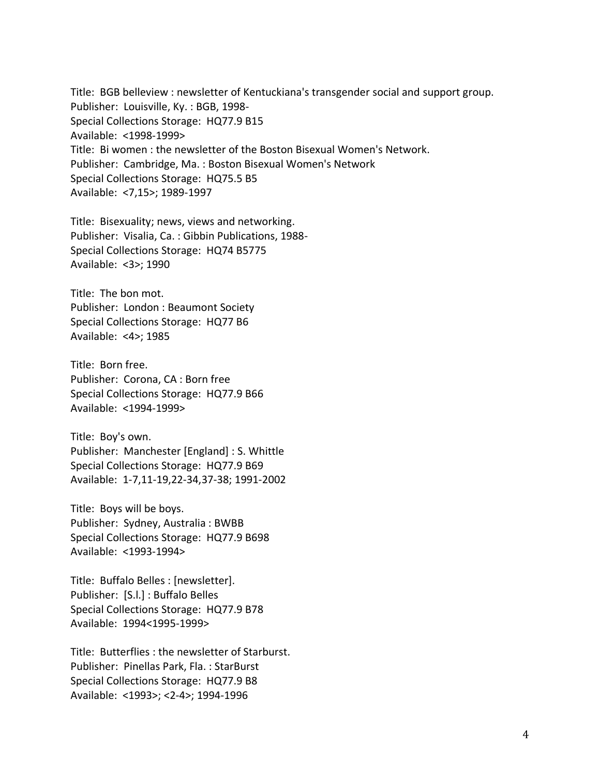Title: BGB belleview : newsletter of Kentuckiana's transgender social and support group. Publisher: Louisville, Ky. : BGB, 1998- Special Collections Storage: HQ77.9 B15 Available: <1998-1999> Title: Bi women : the newsletter of the Boston Bisexual Women's Network. Publisher: Cambridge, Ma. : Boston Bisexual Women's Network Special Collections Storage: HQ75.5 B5 Available: <7,15>; 1989-1997

Title: Bisexuality; news, views and networking. Publisher: Visalia, Ca. : Gibbin Publications, 1988- Special Collections Storage: HQ74 B5775 Available: <3>; 1990

Title: The bon mot. Publisher: London : Beaumont Society Special Collections Storage: HQ77 B6 Available: <4>; 1985

Title: Born free. Publisher: Corona, CA : Born free Special Collections Storage: HQ77.9 B66 Available: <1994-1999>

Title: Boy's own. Publisher: Manchester [England] : S. Whittle Special Collections Storage: HQ77.9 B69 Available: 1-7,11-19,22-34,37-38; 1991-2002

Title: Boys will be boys. Publisher: Sydney, Australia : BWBB Special Collections Storage: HQ77.9 B698 Available: <1993-1994>

Title: Buffalo Belles : [newsletter]. Publisher: [S.l.] : Buffalo Belles Special Collections Storage: HQ77.9 B78 Available: 1994<1995-1999>

Title: Butterflies : the newsletter of Starburst. Publisher: Pinellas Park, Fla. : StarBurst Special Collections Storage: HQ77.9 B8 Available: <1993>; <2-4>; 1994-1996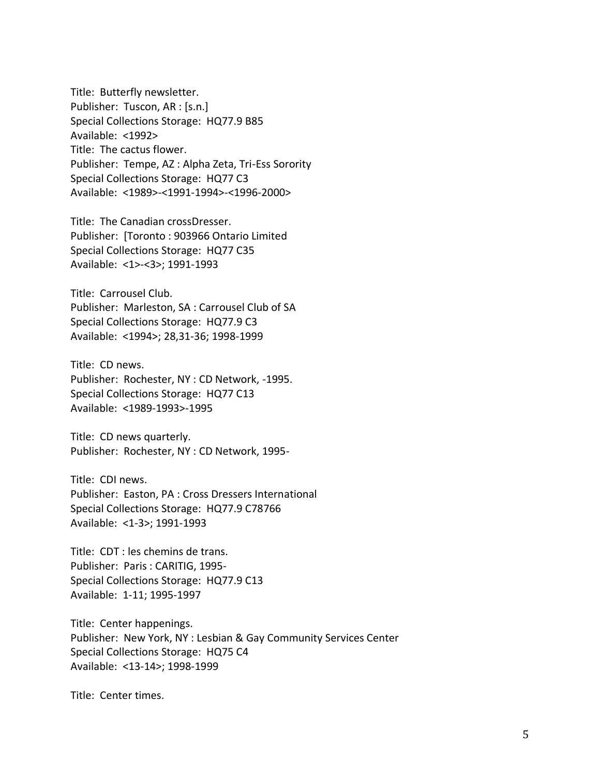Title: Butterfly newsletter. Publisher: Tuscon, AR : [s.n.] Special Collections Storage: HQ77.9 B85 Available: <1992> Title: The cactus flower. Publisher: Tempe, AZ : Alpha Zeta, Tri-Ess Sorority Special Collections Storage: HQ77 C3 Available: <1989>-<1991-1994>-<1996-2000>

Title: The Canadian crossDresser. Publisher: [Toronto : 903966 Ontario Limited Special Collections Storage: HQ77 C35 Available: <1>-<3>; 1991-1993

Title: Carrousel Club. Publisher: Marleston, SA : Carrousel Club of SA Special Collections Storage: HQ77.9 C3 Available: <1994>; 28,31-36; 1998-1999

Title: CD news. Publisher: Rochester, NY : CD Network, -1995. Special Collections Storage: HQ77 C13 Available: <1989-1993>-1995

Title: CD news quarterly. Publisher: Rochester, NY : CD Network, 1995-

Title: CDI news. Publisher: Easton, PA : Cross Dressers International Special Collections Storage: HQ77.9 C78766 Available: <1-3>; 1991-1993

Title: CDT : les chemins de trans. Publisher: Paris : CARITIG, 1995- Special Collections Storage: HQ77.9 C13 Available: 1-11; 1995-1997

Title: Center happenings. Publisher: New York, NY : Lesbian & Gay Community Services Center Special Collections Storage: HQ75 C4 Available: <13-14>; 1998-1999

Title: Center times.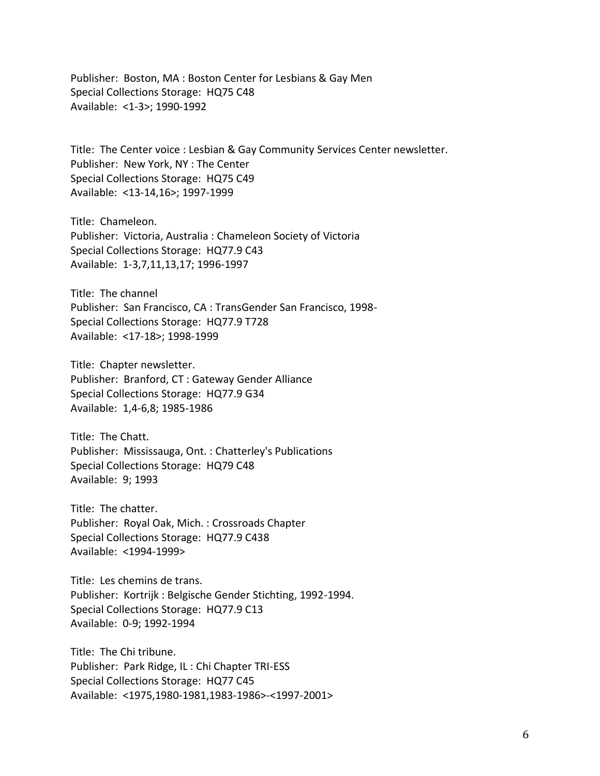Publisher: Boston, MA : Boston Center for Lesbians & Gay Men Special Collections Storage: HQ75 C48 Available: <1-3>; 1990-1992

Title: The Center voice : Lesbian & Gay Community Services Center newsletter. Publisher: New York, NY : The Center Special Collections Storage: HQ75 C49 Available: <13-14,16>; 1997-1999

Title: Chameleon. Publisher: Victoria, Australia : Chameleon Society of Victoria Special Collections Storage: HQ77.9 C43 Available: 1-3,7,11,13,17; 1996-1997

Title: The channel Publisher: San Francisco, CA : TransGender San Francisco, 1998- Special Collections Storage: HQ77.9 T728 Available: <17-18>; 1998-1999

Title: Chapter newsletter. Publisher: Branford, CT : Gateway Gender Alliance Special Collections Storage: HQ77.9 G34 Available: 1,4-6,8; 1985-1986

Title: The Chatt. Publisher: Mississauga, Ont. : Chatterley's Publications Special Collections Storage: HQ79 C48 Available: 9; 1993

Title: The chatter. Publisher: Royal Oak, Mich. : Crossroads Chapter Special Collections Storage: HQ77.9 C438 Available: <1994-1999>

Title: Les chemins de trans. Publisher: Kortrijk : Belgische Gender Stichting, 1992-1994. Special Collections Storage: HQ77.9 C13 Available: 0-9; 1992-1994

Title: The Chi tribune. Publisher: Park Ridge, IL : Chi Chapter TRI-ESS Special Collections Storage: HQ77 C45 Available: <1975,1980-1981,1983-1986>-<1997-2001>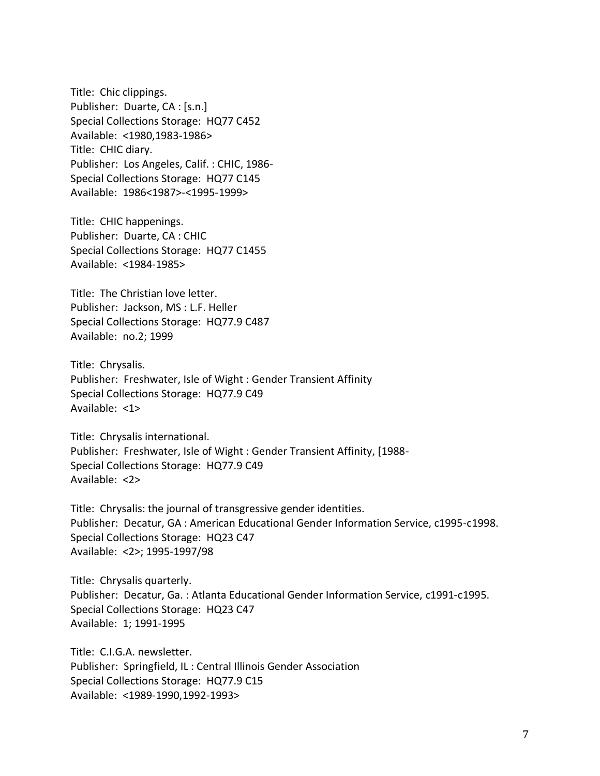Title: Chic clippings. Publisher: Duarte, CA : [s.n.] Special Collections Storage: HQ77 C452 Available: <1980,1983-1986> Title: CHIC diary. Publisher: Los Angeles, Calif. : CHIC, 1986- Special Collections Storage: HQ77 C145 Available: 1986<1987>-<1995-1999>

Title: CHIC happenings. Publisher: Duarte, CA : CHIC Special Collections Storage: HQ77 C1455 Available: <1984-1985>

Title: The Christian love letter. Publisher: Jackson, MS : L.F. Heller Special Collections Storage: HQ77.9 C487 Available: no.2; 1999

Title: Chrysalis. Publisher: Freshwater, Isle of Wight : Gender Transient Affinity Special Collections Storage: HQ77.9 C49 Available: <1>

Title: Chrysalis international. Publisher: Freshwater, Isle of Wight : Gender Transient Affinity, [1988- Special Collections Storage: HQ77.9 C49 Available: <2>

Title: Chrysalis: the journal of transgressive gender identities. Publisher: Decatur, GA : American Educational Gender Information Service, c1995-c1998. Special Collections Storage: HQ23 C47 Available: <2>; 1995-1997/98

Title: Chrysalis quarterly. Publisher: Decatur, Ga. : Atlanta Educational Gender Information Service, c1991-c1995. Special Collections Storage: HQ23 C47 Available: 1; 1991-1995

Title: C.I.G.A. newsletter. Publisher: Springfield, IL : Central Illinois Gender Association Special Collections Storage: HQ77.9 C15 Available: <1989-1990,1992-1993>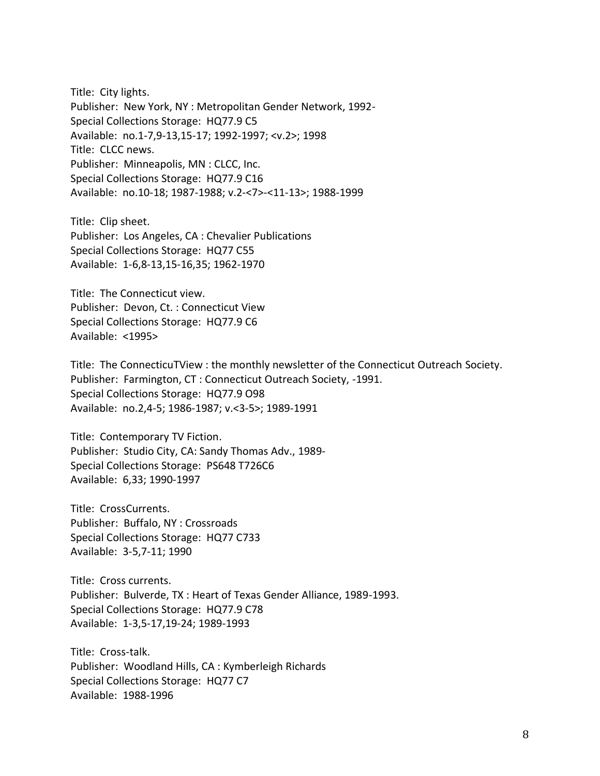Title: City lights. Publisher: New York, NY : Metropolitan Gender Network, 1992- Special Collections Storage: HQ77.9 C5 Available: no.1-7,9-13,15-17; 1992-1997; <v.2>; 1998 Title: CLCC news. Publisher: Minneapolis, MN : CLCC, Inc. Special Collections Storage: HQ77.9 C16 Available: no.10-18; 1987-1988; v.2-<7>-<11-13>; 1988-1999

Title: Clip sheet. Publisher: Los Angeles, CA : Chevalier Publications Special Collections Storage: HQ77 C55 Available: 1-6,8-13,15-16,35; 1962-1970

Title: The Connecticut view. Publisher: Devon, Ct. : Connecticut View Special Collections Storage: HQ77.9 C6 Available: <1995>

Title: The ConnecticuTView : the monthly newsletter of the Connecticut Outreach Society. Publisher: Farmington, CT : Connecticut Outreach Society, -1991. Special Collections Storage: HQ77.9 O98 Available: no.2,4-5; 1986-1987; v.<3-5>; 1989-1991

Title: Contemporary TV Fiction. Publisher: Studio City, CA: Sandy Thomas Adv., 1989- Special Collections Storage: PS648 T726C6 Available: 6,33; 1990-1997

Title: CrossCurrents. Publisher: Buffalo, NY : Crossroads Special Collections Storage: HQ77 C733 Available: 3-5,7-11; 1990

Title: Cross currents. Publisher: Bulverde, TX : Heart of Texas Gender Alliance, 1989-1993. Special Collections Storage: HQ77.9 C78 Available: 1-3,5-17,19-24; 1989-1993

Title: Cross-talk. Publisher: Woodland Hills, CA : Kymberleigh Richards Special Collections Storage: HQ77 C7 Available: 1988-1996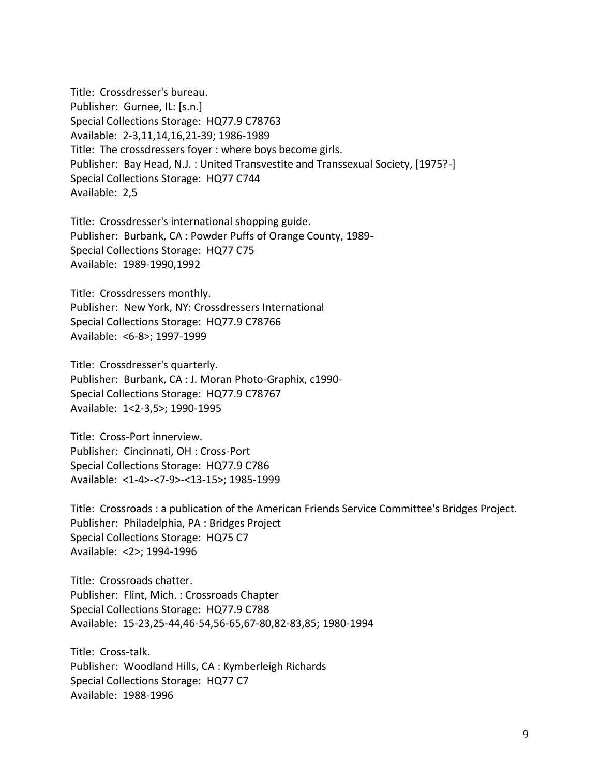Title: Crossdresser's bureau. Publisher: Gurnee, IL: [s.n.] Special Collections Storage: HQ77.9 C78763 Available: 2-3,11,14,16,21-39; 1986-1989 Title: The crossdressers foyer : where boys become girls. Publisher: Bay Head, N.J. : United Transvestite and Transsexual Society, [1975?-] Special Collections Storage: HQ77 C744 Available: 2,5

Title: Crossdresser's international shopping guide. Publisher: Burbank, CA : Powder Puffs of Orange County, 1989- Special Collections Storage: HQ77 C75 Available: 1989-1990,1992

Title: Crossdressers monthly. Publisher: New York, NY: Crossdressers International Special Collections Storage: HQ77.9 C78766 Available: <6-8>; 1997-1999

Title: Crossdresser's quarterly. Publisher: Burbank, CA : J. Moran Photo-Graphix, c1990- Special Collections Storage: HQ77.9 C78767 Available: 1<2-3,5>; 1990-1995

Title: Cross-Port innerview. Publisher: Cincinnati, OH : Cross-Port Special Collections Storage: HQ77.9 C786 Available: <1-4>-<7-9>-<13-15>; 1985-1999

Title: Crossroads : a publication of the American Friends Service Committee's Bridges Project. Publisher: Philadelphia, PA : Bridges Project Special Collections Storage: HQ75 C7 Available: <2>; 1994-1996

Title: Crossroads chatter. Publisher: Flint, Mich. : Crossroads Chapter Special Collections Storage: HQ77.9 C788 Available: 15-23,25-44,46-54,56-65,67-80,82-83,85; 1980-1994

Title: Cross-talk. Publisher: Woodland Hills, CA : Kymberleigh Richards Special Collections Storage: HQ77 C7 Available: 1988-1996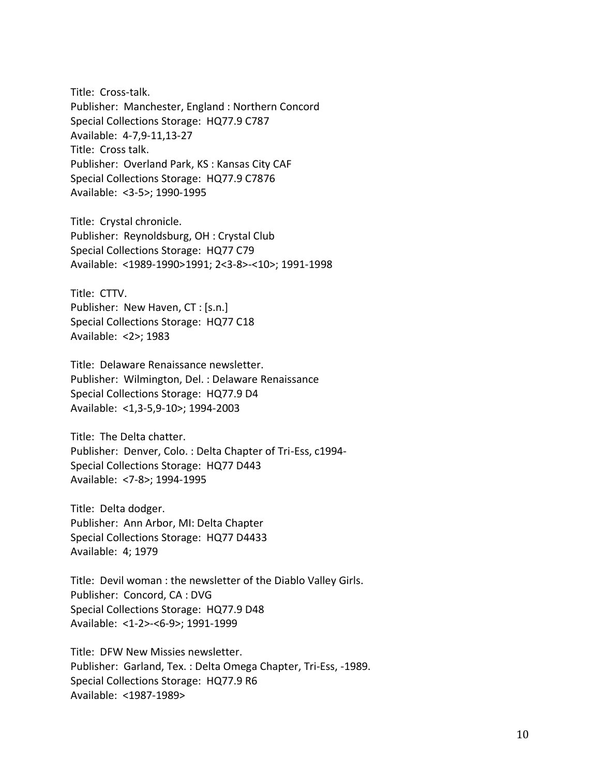Title: Cross-talk. Publisher: Manchester, England : Northern Concord Special Collections Storage: HQ77.9 C787 Available: 4-7,9-11,13-27 Title: Cross talk. Publisher: Overland Park, KS : Kansas City CAF Special Collections Storage: HQ77.9 C7876 Available: <3-5>; 1990-1995

Title: Crystal chronicle. Publisher: Reynoldsburg, OH : Crystal Club Special Collections Storage: HQ77 C79 Available: <1989-1990>1991; 2<3-8>-<10>; 1991-1998

Title: CTTV. Publisher: New Haven, CT : [s.n.] Special Collections Storage: HQ77 C18 Available: <2>; 1983

Title: Delaware Renaissance newsletter. Publisher: Wilmington, Del. : Delaware Renaissance Special Collections Storage: HQ77.9 D4 Available: <1,3-5,9-10>; 1994-2003

Title: The Delta chatter. Publisher: Denver, Colo. : Delta Chapter of Tri-Ess, c1994- Special Collections Storage: HQ77 D443 Available: <7-8>; 1994-1995

Title: Delta dodger. Publisher: Ann Arbor, MI: Delta Chapter Special Collections Storage: HQ77 D4433 Available: 4; 1979

Title: Devil woman : the newsletter of the Diablo Valley Girls. Publisher: Concord, CA : DVG Special Collections Storage: HQ77.9 D48 Available: <1-2>-<6-9>; 1991-1999

Title: DFW New Missies newsletter. Publisher: Garland, Tex. : Delta Omega Chapter, Tri-Ess, -1989. Special Collections Storage: HQ77.9 R6 Available: <1987-1989>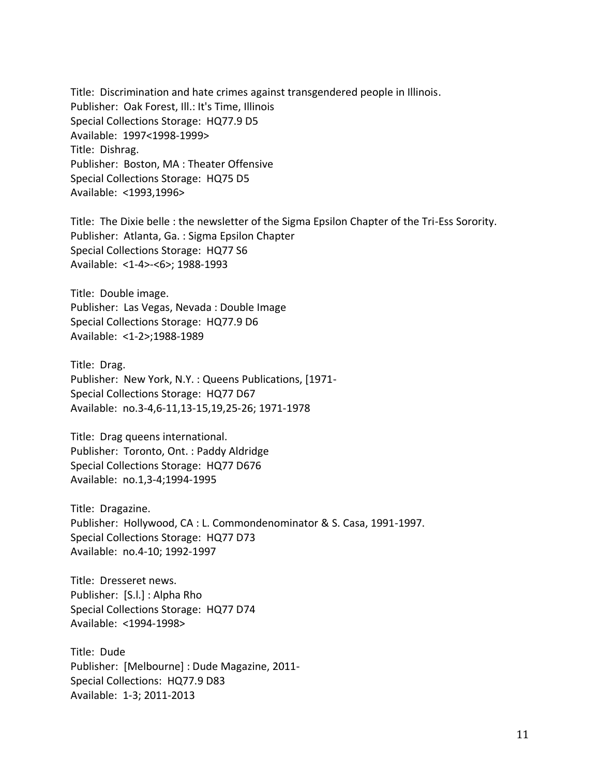Title: Discrimination and hate crimes against transgendered people in Illinois. Publisher: Oak Forest, Ill.: It's Time, Illinois Special Collections Storage: HQ77.9 D5 Available: 1997<1998-1999> Title: Dishrag. Publisher: Boston, MA : Theater Offensive Special Collections Storage: HQ75 D5 Available: <1993,1996>

Title: The Dixie belle : the newsletter of the Sigma Epsilon Chapter of the Tri-Ess Sorority. Publisher: Atlanta, Ga. : Sigma Epsilon Chapter Special Collections Storage: HQ77 S6 Available: <1-4>-<6>; 1988-1993

Title: Double image. Publisher: Las Vegas, Nevada : Double Image Special Collections Storage: HQ77.9 D6 Available: <1-2>;1988-1989

Title: Drag. Publisher: New York, N.Y. : Queens Publications, [1971- Special Collections Storage: HQ77 D67 Available: no.3-4,6-11,13-15,19,25-26; 1971-1978

Title: Drag queens international. Publisher: Toronto, Ont. : Paddy Aldridge Special Collections Storage: HQ77 D676 Available: no.1,3-4;1994-1995

Title: Dragazine. Publisher: Hollywood, CA : L. Commondenominator & S. Casa, 1991-1997. Special Collections Storage: HQ77 D73 Available: no.4-10; 1992-1997

Title: Dresseret news. Publisher: [S.l.] : Alpha Rho Special Collections Storage: HQ77 D74 Available: <1994-1998>

Title: Dude Publisher: [Melbourne] : Dude Magazine, 2011- Special Collections: HQ77.9 D83 Available: 1-3; 2011-2013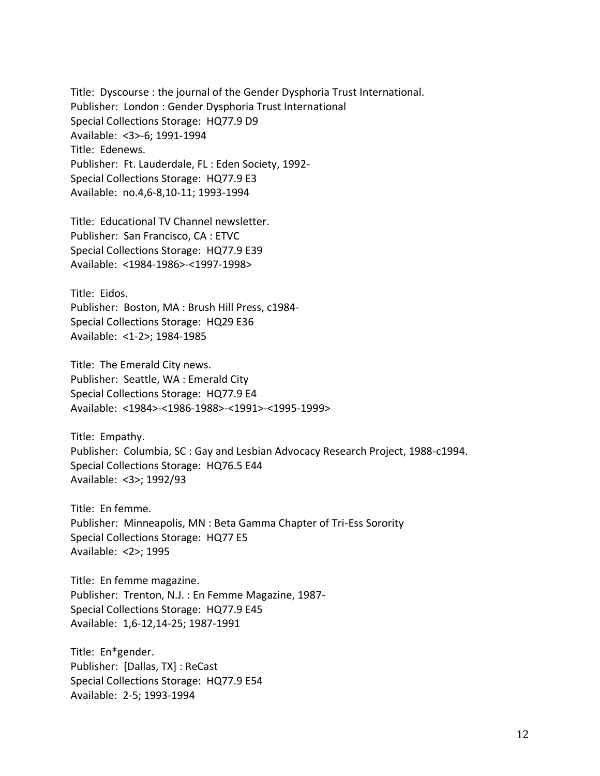Title: Dyscourse : the journal of the Gender Dysphoria Trust International. Publisher: London : Gender Dysphoria Trust International Special Collections Storage: HQ77.9 D9 Available: <3>-6; 1991-1994 Title: Edenews. Publisher: Ft. Lauderdale, FL : Eden Society, 1992- Special Collections Storage: HQ77.9 E3 Available: no.4,6-8,10-11; 1993-1994

Title: Educational TV Channel newsletter. Publisher: San Francisco, CA : ETVC Special Collections Storage: HQ77.9 E39 Available: <1984-1986>-<1997-1998>

Title: Eidos. Publisher: Boston, MA : Brush Hill Press, c1984- Special Collections Storage: HQ29 E36 Available: <1-2>; 1984-1985

Title: The Emerald City news. Publisher: Seattle, WA : Emerald City Special Collections Storage: HQ77.9 E4 Available: <1984>-<1986-1988>-<1991>-<1995-1999>

Title: Empathy. Publisher: Columbia, SC : Gay and Lesbian Advocacy Research Project, 1988-c1994. Special Collections Storage: HQ76.5 E44 Available: <3>; 1992/93

Title: En femme. Publisher: Minneapolis, MN : Beta Gamma Chapter of Tri-Ess Sorority Special Collections Storage: HQ77 E5 Available: <2>; 1995

Title: En femme magazine. Publisher: Trenton, N.J. : En Femme Magazine, 1987- Special Collections Storage: HQ77.9 E45 Available: 1,6-12,14-25; 1987-1991

Title: En\*gender. Publisher: [Dallas, TX] : ReCast Special Collections Storage: HQ77.9 E54 Available: 2-5; 1993-1994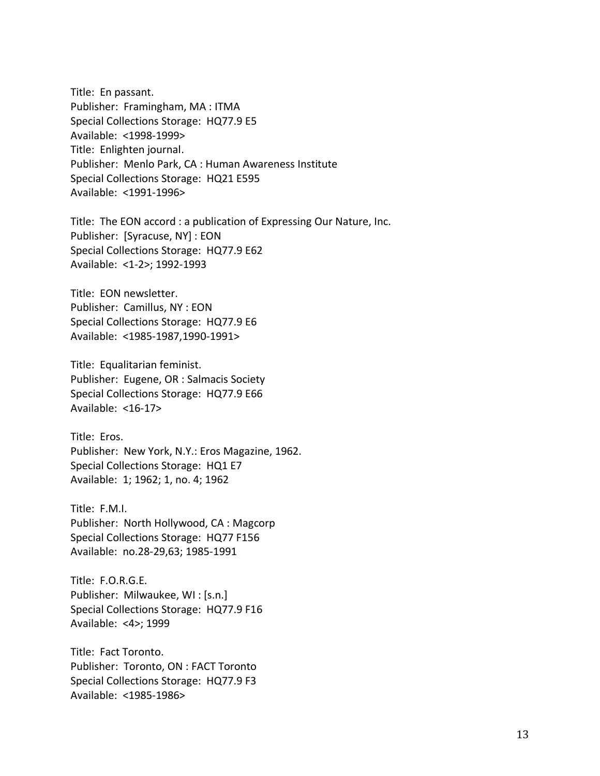Title: En passant. Publisher: Framingham, MA : ITMA Special Collections Storage: HQ77.9 E5 Available: <1998-1999> Title: Enlighten journal. Publisher: Menlo Park, CA : Human Awareness Institute Special Collections Storage: HQ21 E595 Available: <1991-1996>

Title: The EON accord : a publication of Expressing Our Nature, Inc. Publisher: [Syracuse, NY] : EON Special Collections Storage: HQ77.9 E62 Available: <1-2>; 1992-1993

Title: EON newsletter. Publisher: Camillus, NY : EON Special Collections Storage: HQ77.9 E6 Available: <1985-1987,1990-1991>

Title: Equalitarian feminist. Publisher: Eugene, OR : Salmacis Society Special Collections Storage: HQ77.9 E66 Available: <16-17>

Title: Eros. Publisher: New York, N.Y.: Eros Magazine, 1962. Special Collections Storage: HQ1 E7 Available: 1; 1962; 1, no. 4; 1962

Title: F.M.I. Publisher: North Hollywood, CA : Magcorp Special Collections Storage: HQ77 F156 Available: no.28-29,63; 1985-1991

Title: F.O.R.G.E. Publisher: Milwaukee, WI : [s.n.] Special Collections Storage: HQ77.9 F16 Available: <4>; 1999

Title: Fact Toronto. Publisher: Toronto, ON : FACT Toronto Special Collections Storage: HQ77.9 F3 Available: <1985-1986>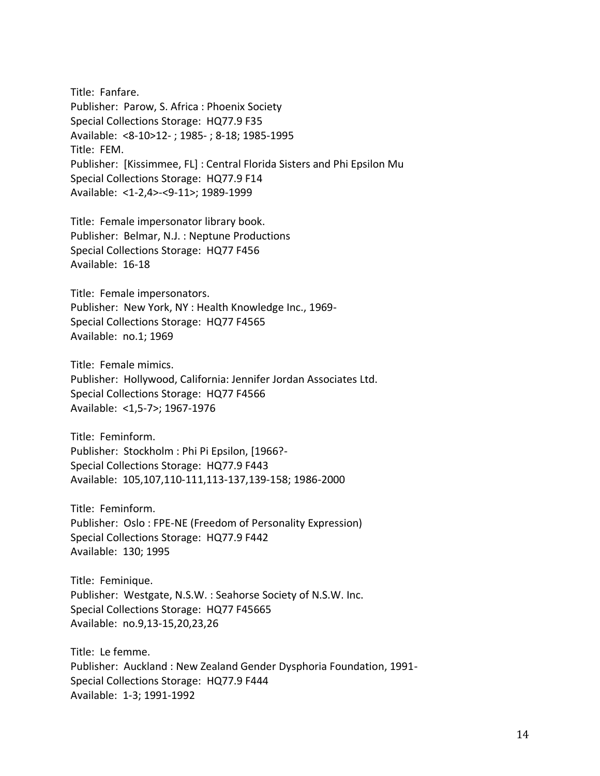Title: Fanfare. Publisher: Parow, S. Africa : Phoenix Society Special Collections Storage: HQ77.9 F35 Available: <8-10>12- ; 1985- ; 8-18; 1985-1995 Title: FEM. Publisher: [Kissimmee, FL] : Central Florida Sisters and Phi Epsilon Mu Special Collections Storage: HQ77.9 F14 Available: <1-2,4>-<9-11>; 1989-1999

Title: Female impersonator library book. Publisher: Belmar, N.J. : Neptune Productions Special Collections Storage: HQ77 F456 Available: 16-18

Title: Female impersonators. Publisher: New York, NY : Health Knowledge Inc., 1969- Special Collections Storage: HQ77 F4565 Available: no.1; 1969

Title: Female mimics. Publisher: Hollywood, California: Jennifer Jordan Associates Ltd. Special Collections Storage: HQ77 F4566 Available: <1,5-7>; 1967-1976

Title: Feminform. Publisher: Stockholm : Phi Pi Epsilon, [1966?- Special Collections Storage: HQ77.9 F443 Available: 105,107,110-111,113-137,139-158; 1986-2000

Title: Feminform. Publisher: Oslo : FPE-NE (Freedom of Personality Expression) Special Collections Storage: HQ77.9 F442 Available: 130; 1995

Title: Feminique. Publisher: Westgate, N.S.W. : Seahorse Society of N.S.W. Inc. Special Collections Storage: HQ77 F45665 Available: no.9,13-15,20,23,26

Title: Le femme. Publisher: Auckland : New Zealand Gender Dysphoria Foundation, 1991- Special Collections Storage: HQ77.9 F444 Available: 1-3; 1991-1992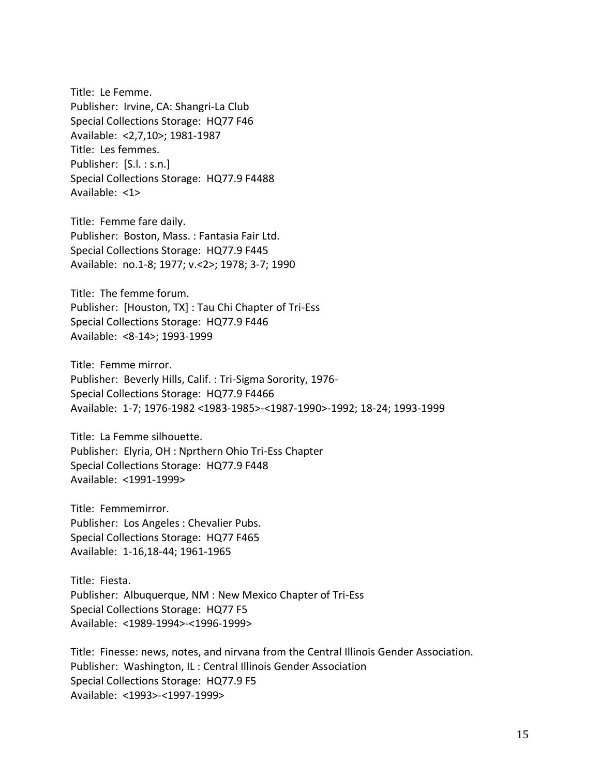Title: Le Femme. Publisher: Irvine, CA: Shangri-La Club Special Collections Storage: HQ77 F46 Available: <2,7,10>; 1981-1987 Title: Les femmes. Publisher: [S.l. : s.n.] Special Collections Storage: HQ77.9 F4488 Available: <1>

Title: Femme fare daily. Publisher: Boston, Mass. : Fantasia Fair Ltd. Special Collections Storage: HQ77.9 F445 Available: no.1-8; 1977; v.<2>; 1978; 3-7; 1990

Title: The femme forum. Publisher: [Houston, TX] : Tau Chi Chapter of Tri-Ess Special Collections Storage: HQ77.9 F446 Available: <8-14>; 1993-1999

Title: Femme mirror. Publisher: Beverly Hills, Calif. : Tri-Sigma Sorority, 1976- Special Collections Storage: HQ77.9 F4466 Available: 1-7; 1976-1982 <1983-1985>-<1987-1990>-1992; 18-24; 1993-1999

Title: La Femme silhouette. Publisher: Elyria, OH : Nprthern Ohio Tri-Ess Chapter Special Collections Storage: HQ77.9 F448 Available: <1991-1999>

Title: Femmemirror. Publisher: Los Angeles : Chevalier Pubs. Special Collections Storage: HQ77 F465 Available: 1-16,18-44; 1961-1965

Title: Fiesta. Publisher: Albuquerque, NM : New Mexico Chapter of Tri-Ess Special Collections Storage: HQ77 F5 Available: <1989-1994>-<1996-1999>

Title: Finesse: news, notes, and nirvana from the Central Illinois Gender Association. Publisher: Washington, IL : Central Illinois Gender Association Special Collections Storage: HQ77.9 F5 Available: <1993>-<1997-1999>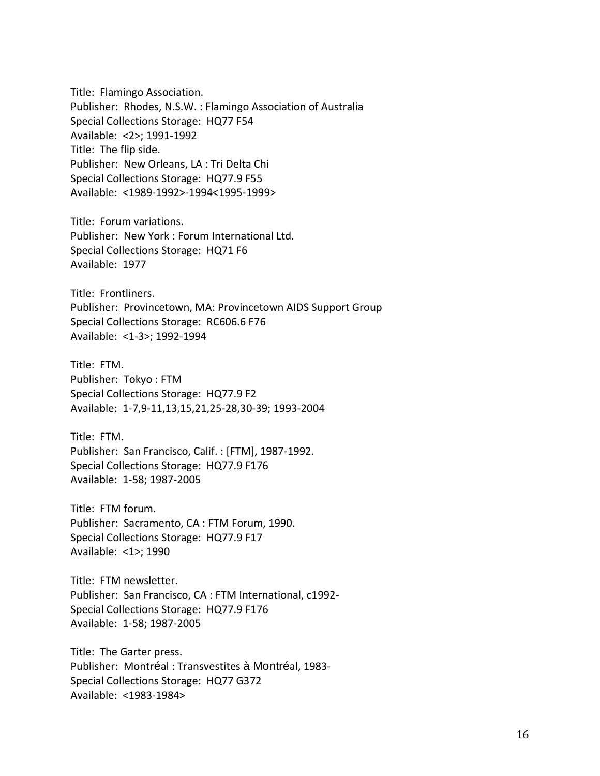Title: Flamingo Association. Publisher: Rhodes, N.S.W. : Flamingo Association of Australia Special Collections Storage: HQ77 F54 Available: <2>; 1991-1992 Title: The flip side. Publisher: New Orleans, LA : Tri Delta Chi Special Collections Storage: HQ77.9 F55 Available: <1989-1992>-1994<1995-1999>

Title: Forum variations. Publisher: New York : Forum International Ltd. Special Collections Storage: HQ71 F6 Available: 1977

Title: Frontliners. Publisher: Provincetown, MA: Provincetown AIDS Support Group Special Collections Storage: RC606.6 F76 Available: <1-3>; 1992-1994

Title: FTM. Publisher: Tokyo : FTM Special Collections Storage: HQ77.9 F2 Available: 1-7,9-11,13,15,21,25-28,30-39; 1993-2004

Title: FTM. Publisher: San Francisco, Calif. : [FTM], 1987-1992. Special Collections Storage: HQ77.9 F176 Available: 1-58; 1987-2005

Title: FTM forum. Publisher: Sacramento, CA : FTM Forum, 1990. Special Collections Storage: HQ77.9 F17 Available: <1>; 1990

Title: FTM newsletter. Publisher: San Francisco, CA : FTM International, c1992- Special Collections Storage: HQ77.9 F176 Available: 1-58; 1987-2005

Title: The Garter press. Publisher: Montréal : Transvestites à Montréal, 1983- Special Collections Storage: HQ77 G372 Available: <1983-1984>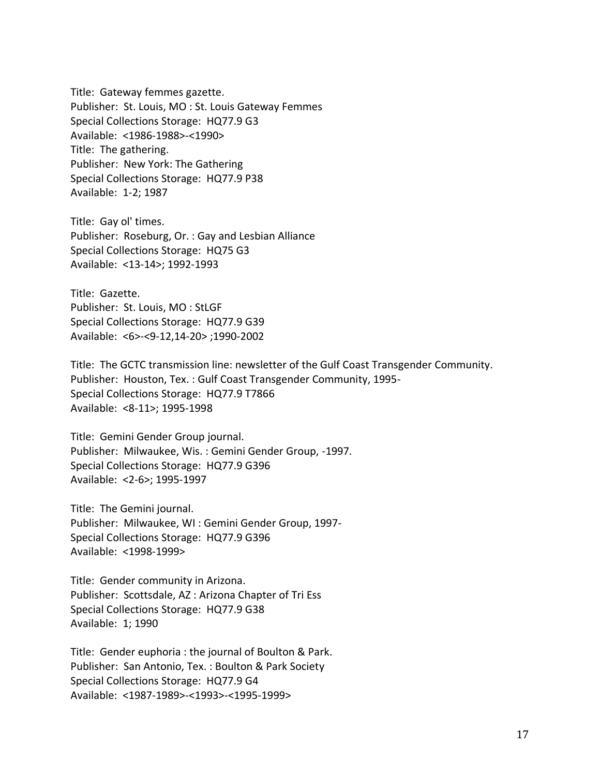Title: Gateway femmes gazette. Publisher: St. Louis, MO : St. Louis Gateway Femmes Special Collections Storage: HQ77.9 G3 Available: <1986-1988>-<1990> Title: The gathering. Publisher: New York: The Gathering Special Collections Storage: HQ77.9 P38 Available: 1-2; 1987

Title: Gay ol' times. Publisher: Roseburg, Or. : Gay and Lesbian Alliance Special Collections Storage: HQ75 G3 Available: <13-14>; 1992-1993

Title: Gazette. Publisher: St. Louis, MO : StLGF Special Collections Storage: HQ77.9 G39 Available: <6>-<9-12,14-20> ;1990-2002

Title: The GCTC transmission line: newsletter of the Gulf Coast Transgender Community. Publisher: Houston, Tex. : Gulf Coast Transgender Community, 1995- Special Collections Storage: HQ77.9 T7866 Available: <8-11>; 1995-1998

Title: Gemini Gender Group journal. Publisher: Milwaukee, Wis. : Gemini Gender Group, -1997. Special Collections Storage: HQ77.9 G396 Available: <2-6>; 1995-1997

Title: The Gemini journal. Publisher: Milwaukee, WI : Gemini Gender Group, 1997- Special Collections Storage: HQ77.9 G396 Available: <1998-1999>

Title: Gender community in Arizona. Publisher: Scottsdale, AZ : Arizona Chapter of Tri Ess Special Collections Storage: HQ77.9 G38 Available: 1; 1990

Title: Gender euphoria : the journal of Boulton & Park. Publisher: San Antonio, Tex. : Boulton & Park Society Special Collections Storage: HQ77.9 G4 Available: <1987-1989>-<1993>-<1995-1999>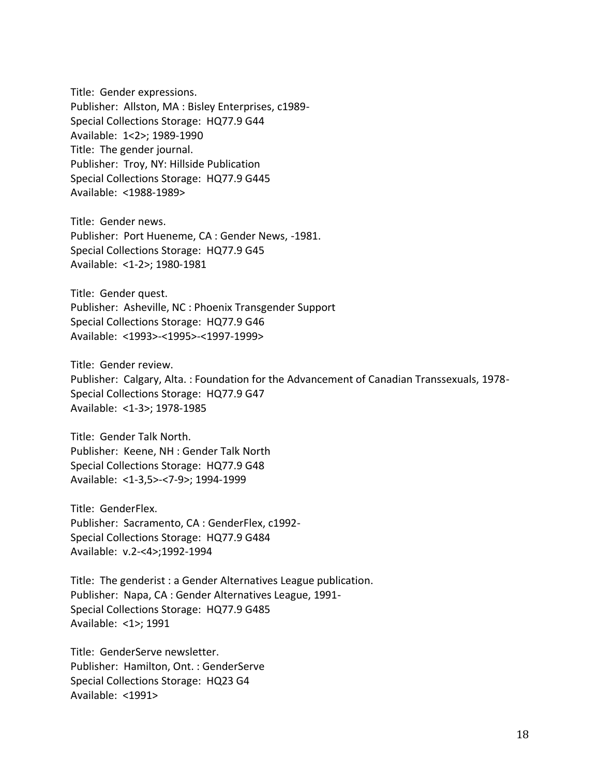Title: Gender expressions. Publisher: Allston, MA : Bisley Enterprises, c1989- Special Collections Storage: HQ77.9 G44 Available: 1<2>; 1989-1990 Title: The gender journal. Publisher: Troy, NY: Hillside Publication Special Collections Storage: HQ77.9 G445 Available: <1988-1989>

Title: Gender news. Publisher: Port Hueneme, CA : Gender News, -1981. Special Collections Storage: HQ77.9 G45 Available: <1-2>; 1980-1981

Title: Gender quest. Publisher: Asheville, NC : Phoenix Transgender Support Special Collections Storage: HQ77.9 G46 Available: <1993>-<1995>-<1997-1999>

Title: Gender review. Publisher: Calgary, Alta. : Foundation for the Advancement of Canadian Transsexuals, 1978- Special Collections Storage: HQ77.9 G47 Available: <1-3>; 1978-1985

Title: Gender Talk North. Publisher: Keene, NH : Gender Talk North Special Collections Storage: HQ77.9 G48 Available: <1-3,5>-<7-9>; 1994-1999

Title: GenderFlex. Publisher: Sacramento, CA : GenderFlex, c1992- Special Collections Storage: HQ77.9 G484 Available: v.2-<4>;1992-1994

Title: The genderist : a Gender Alternatives League publication. Publisher: Napa, CA : Gender Alternatives League, 1991- Special Collections Storage: HQ77.9 G485 Available: <1>; 1991

Title: GenderServe newsletter. Publisher: Hamilton, Ont. : GenderServe Special Collections Storage: HQ23 G4 Available: <1991>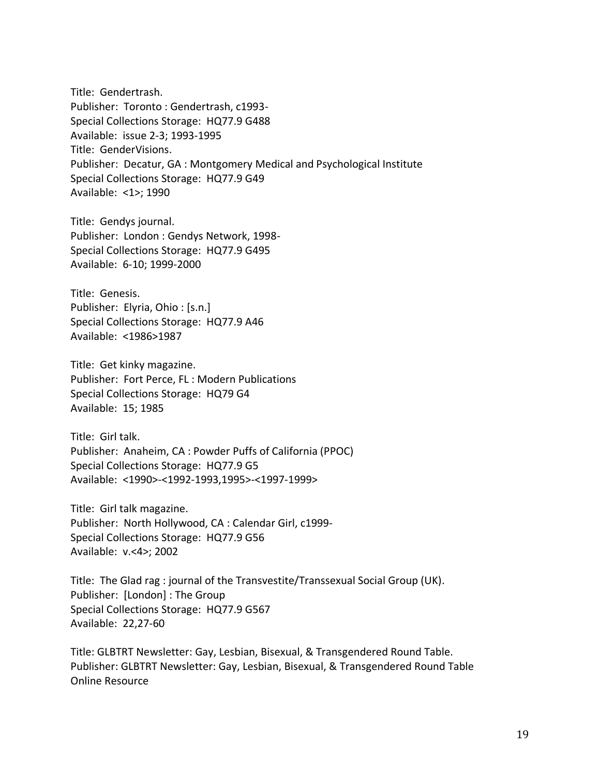Title: Gendertrash. Publisher: Toronto : Gendertrash, c1993- Special Collections Storage: HQ77.9 G488 Available: issue 2-3; 1993-1995 Title: GenderVisions. Publisher: Decatur, GA : Montgomery Medical and Psychological Institute Special Collections Storage: HQ77.9 G49 Available: <1>; 1990

Title: Gendys journal. Publisher: London : Gendys Network, 1998- Special Collections Storage: HQ77.9 G495 Available: 6-10; 1999-2000

Title: Genesis. Publisher: Elyria, Ohio : [s.n.] Special Collections Storage: HQ77.9 A46 Available: <1986>1987

Title: Get kinky magazine. Publisher: Fort Perce, FL : Modern Publications Special Collections Storage: HQ79 G4 Available: 15; 1985

Title: Girl talk. Publisher: Anaheim, CA : Powder Puffs of California (PPOC) Special Collections Storage: HQ77.9 G5 Available: <1990>-<1992-1993,1995>-<1997-1999>

Title: Girl talk magazine. Publisher: North Hollywood, CA : Calendar Girl, c1999- Special Collections Storage: HQ77.9 G56 Available: v.<4>; 2002

Title: The Glad rag : journal of the Transvestite/Transsexual Social Group (UK). Publisher: [London] : The Group Special Collections Storage: HQ77.9 G567 Available: 22,27-60

Title: GLBTRT Newsletter: Gay, Lesbian, Bisexual, & Transgendered Round Table. Publisher: GLBTRT Newsletter: Gay, Lesbian, Bisexual, & Transgendered Round Table Online Resource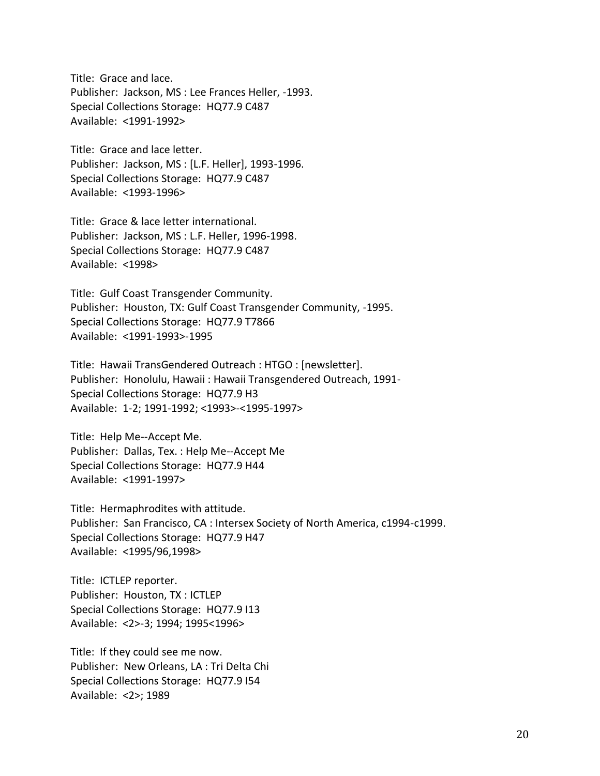Title: Grace and lace. Publisher: Jackson, MS : Lee Frances Heller, -1993. Special Collections Storage: HQ77.9 C487 Available: <1991-1992>

Title: Grace and lace letter. Publisher: Jackson, MS : [L.F. Heller], 1993-1996. Special Collections Storage: HQ77.9 C487 Available: <1993-1996>

Title: Grace & lace letter international. Publisher: Jackson, MS : L.F. Heller, 1996-1998. Special Collections Storage: HQ77.9 C487 Available: <1998>

Title: Gulf Coast Transgender Community. Publisher: Houston, TX: Gulf Coast Transgender Community, -1995. Special Collections Storage: HQ77.9 T7866 Available: <1991-1993>-1995

Title: Hawaii TransGendered Outreach : HTGO : [newsletter]. Publisher: Honolulu, Hawaii : Hawaii Transgendered Outreach, 1991- Special Collections Storage: HQ77.9 H3 Available: 1-2; 1991-1992; <1993>-<1995-1997>

Title: Help Me--Accept Me. Publisher: Dallas, Tex. : Help Me--Accept Me Special Collections Storage: HQ77.9 H44 Available: <1991-1997>

Title: Hermaphrodites with attitude. Publisher: San Francisco, CA : Intersex Society of North America, c1994-c1999. Special Collections Storage: HQ77.9 H47 Available: <1995/96,1998>

Title: ICTLEP reporter. Publisher: Houston, TX : ICTLEP Special Collections Storage: HQ77.9 I13 Available: <2>-3; 1994; 1995<1996>

Title: If they could see me now. Publisher: New Orleans, LA : Tri Delta Chi Special Collections Storage: HQ77.9 I54 Available: <2>; 1989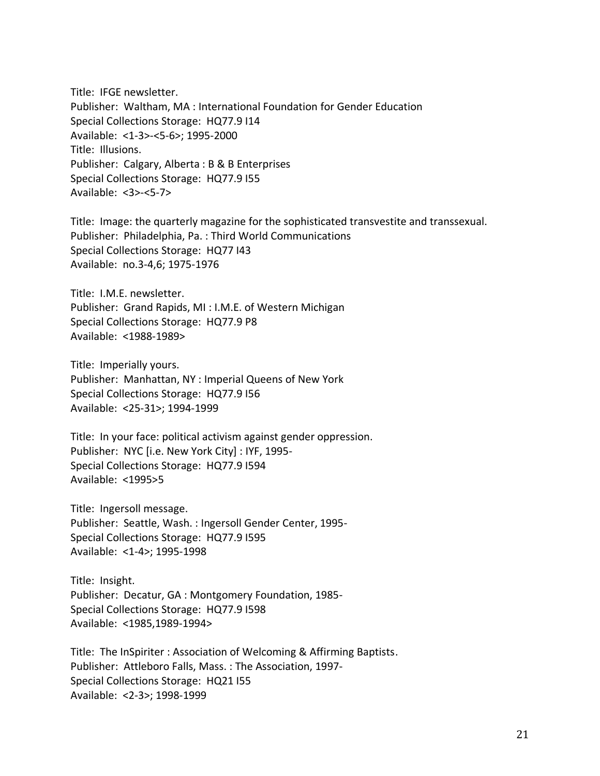Title: IFGE newsletter. Publisher: Waltham, MA : International Foundation for Gender Education Special Collections Storage: HQ77.9 I14 Available: <1-3>-<5-6>; 1995-2000 Title: Illusions. Publisher: Calgary, Alberta : B & B Enterprises Special Collections Storage: HQ77.9 I55 Available: <3>-<5-7>

Title: Image: the quarterly magazine for the sophisticated transvestite and transsexual. Publisher: Philadelphia, Pa. : Third World Communications Special Collections Storage: HQ77 I43 Available: no.3-4,6; 1975-1976

Title: I.M.E. newsletter. Publisher: Grand Rapids, MI : I.M.E. of Western Michigan Special Collections Storage: HQ77.9 P8 Available: <1988-1989>

Title: Imperially yours. Publisher: Manhattan, NY : Imperial Queens of New York Special Collections Storage: HQ77.9 I56 Available: <25-31>; 1994-1999

Title: In your face: political activism against gender oppression. Publisher: NYC [i.e. New York City] : IYF, 1995- Special Collections Storage: HQ77.9 I594 Available: <1995>5

Title: Ingersoll message. Publisher: Seattle, Wash. : Ingersoll Gender Center, 1995- Special Collections Storage: HQ77.9 I595 Available: <1-4>; 1995-1998

Title: Insight. Publisher: Decatur, GA : Montgomery Foundation, 1985- Special Collections Storage: HQ77.9 I598 Available: <1985,1989-1994>

Title: The InSpiriter : Association of Welcoming & Affirming Baptists. Publisher: Attleboro Falls, Mass. : The Association, 1997- Special Collections Storage: HQ21 I55 Available: <2-3>; 1998-1999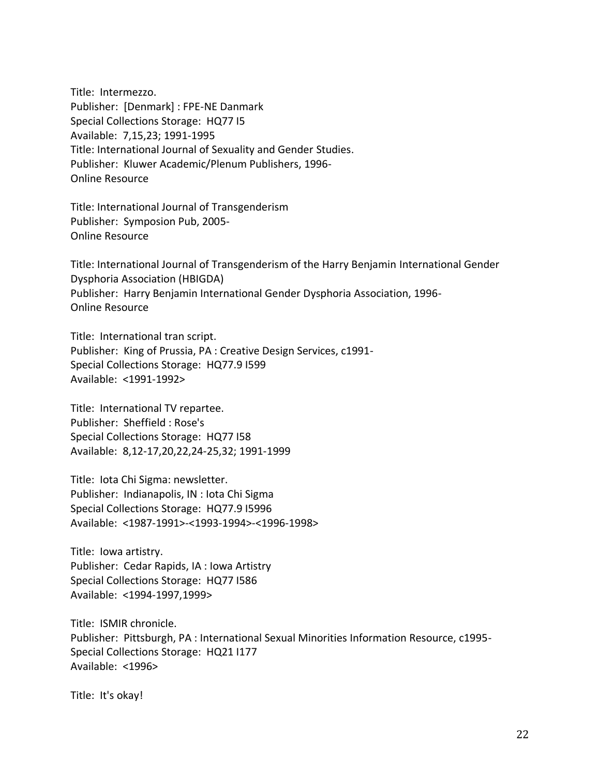Title: Intermezzo. Publisher: [Denmark] : FPE-NE Danmark Special Collections Storage: HQ77 I5 Available: 7,15,23; 1991-1995 Title: International Journal of Sexuality and Gender Studies. Publisher: Kluwer Academic/Plenum Publishers, 1996- Online Resource

Title: International Journal of Transgenderism Publisher: Symposion Pub, 2005- Online Resource

Title: International Journal of Transgenderism of the Harry Benjamin International Gender Dysphoria Association (HBIGDA) Publisher: Harry Benjamin International Gender Dysphoria Association, 1996- Online Resource

Title: International tran script. Publisher: King of Prussia, PA : Creative Design Services, c1991- Special Collections Storage: HQ77.9 I599 Available: <1991-1992>

Title: International TV repartee. Publisher: Sheffield : Rose's Special Collections Storage: HQ77 I58 Available: 8,12-17,20,22,24-25,32; 1991-1999

Title: Iota Chi Sigma: newsletter. Publisher: Indianapolis, IN : Iota Chi Sigma Special Collections Storage: HQ77.9 I5996 Available: <1987-1991>-<1993-1994>-<1996-1998>

Title: Iowa artistry. Publisher: Cedar Rapids, IA : Iowa Artistry Special Collections Storage: HQ77 I586 Available: <1994-1997,1999>

Title: ISMIR chronicle. Publisher: Pittsburgh, PA : International Sexual Minorities Information Resource, c1995- Special Collections Storage: HQ21 I177 Available: <1996>

Title: It's okay!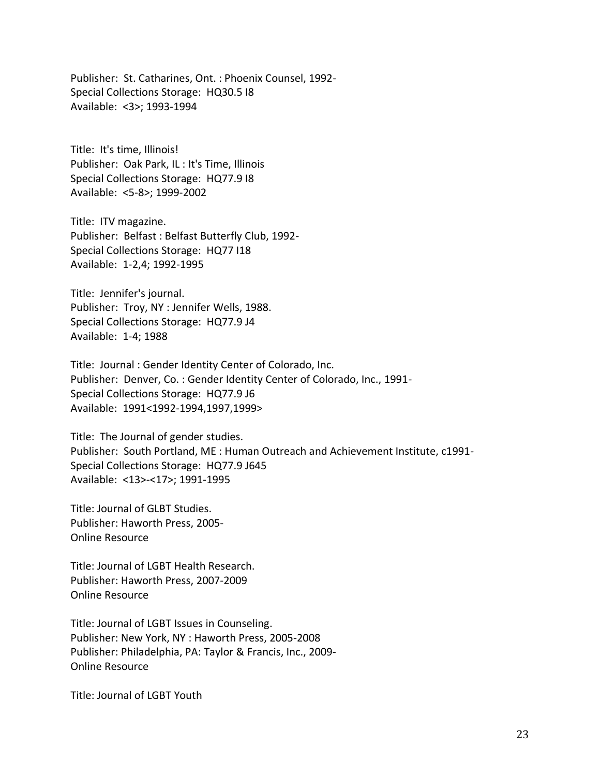Publisher: St. Catharines, Ont. : Phoenix Counsel, 1992- Special Collections Storage: HQ30.5 I8 Available: <3>; 1993-1994

Title: It's time, Illinois! Publisher: Oak Park, IL : It's Time, Illinois Special Collections Storage: HQ77.9 I8 Available: <5-8>; 1999-2002

Title: ITV magazine. Publisher: Belfast : Belfast Butterfly Club, 1992- Special Collections Storage: HQ77 I18 Available: 1-2,4; 1992-1995

Title: Jennifer's journal. Publisher: Troy, NY : Jennifer Wells, 1988. Special Collections Storage: HQ77.9 J4 Available: 1-4; 1988

Title: Journal : Gender Identity Center of Colorado, Inc. Publisher: Denver, Co. : Gender Identity Center of Colorado, Inc., 1991- Special Collections Storage: HQ77.9 J6 Available: 1991<1992-1994,1997,1999>

Title: The Journal of gender studies. Publisher: South Portland, ME : Human Outreach and Achievement Institute, c1991- Special Collections Storage: HQ77.9 J645 Available: <13>-<17>; 1991-1995

Title: Journal of GLBT Studies. Publisher: Haworth Press, 2005- Online Resource

Title: Journal of LGBT Health Research. Publisher: Haworth Press, 2007-2009 Online Resource

Title: Journal of LGBT Issues in Counseling. Publisher: New York, NY : Haworth Press, 2005-2008 Publisher: Philadelphia, PA: Taylor & Francis, Inc., 2009- Online Resource

Title: Journal of LGBT Youth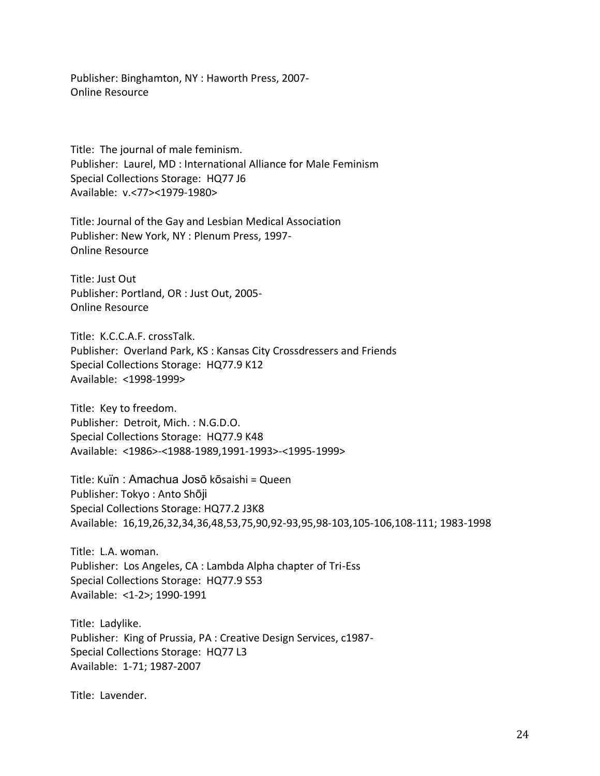Publisher: Binghamton, NY : Haworth Press, 2007- Online Resource

Title: The journal of male feminism. Publisher: Laurel, MD : International Alliance for Male Feminism Special Collections Storage: HQ77 J6 Available: v.<77><1979-1980>

Title: Journal of the Gay and Lesbian Medical Association Publisher: New York, NY : Plenum Press, 1997- Online Resource

Title: Just Out Publisher: Portland, OR : Just Out, 2005- Online Resource

Title: K.C.C.A.F. crossTalk. Publisher: Overland Park, KS : Kansas City Crossdressers and Friends Special Collections Storage: HQ77.9 K12 Available: <1998-1999>

Title: Key to freedom. Publisher: Detroit, Mich. : N.G.D.O. Special Collections Storage: HQ77.9 K48 Available: <1986>-<1988-1989,1991-1993>-<1995-1999>

Title: Kuïn : Amachua Josō kōsaishi = Queen Publisher: Tokyo : Anto Shōji Special Collections Storage: HQ77.2 J3K8 Available: 16,19,26,32,34,36,48,53,75,90,92-93,95,98-103,105-106,108-111; 1983-1998

Title: L.A. woman. Publisher: Los Angeles, CA : Lambda Alpha chapter of Tri-Ess Special Collections Storage: HQ77.9 S53 Available: <1-2>; 1990-1991

Title: Ladylike. Publisher: King of Prussia, PA : Creative Design Services, c1987- Special Collections Storage: HQ77 L3 Available: 1-71; 1987-2007

Title: Lavender.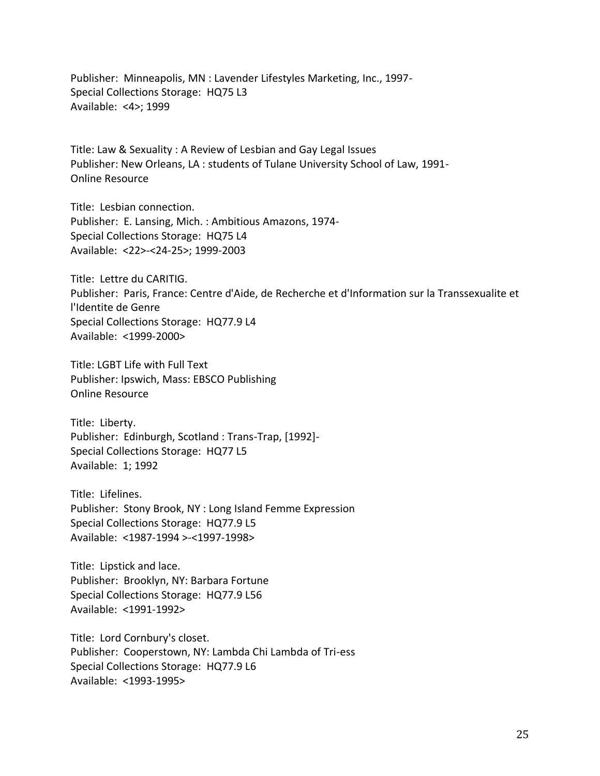Publisher: Minneapolis, MN : Lavender Lifestyles Marketing, Inc., 1997- Special Collections Storage: HQ75 L3 Available: <4>; 1999

Title: Law & Sexuality : A Review of Lesbian and Gay Legal Issues Publisher: New Orleans, LA : students of Tulane University School of Law, 1991- Online Resource

Title: Lesbian connection. Publisher: E. Lansing, Mich. : Ambitious Amazons, 1974- Special Collections Storage: HQ75 L4 Available: <22>-<24-25>; 1999-2003

Title: Lettre du CARITIG. Publisher: Paris, France: Centre d'Aide, de Recherche et d'Information sur la Transsexualite et l'Identite de Genre Special Collections Storage: HQ77.9 L4 Available: <1999-2000>

Title: LGBT Life with Full Text Publisher: Ipswich, Mass: EBSCO Publishing Online Resource

Title: Liberty. Publisher: Edinburgh, Scotland : Trans-Trap, [1992]- Special Collections Storage: HQ77 L5 Available: 1; 1992

Title: Lifelines. Publisher: Stony Brook, NY : Long Island Femme Expression Special Collections Storage: HQ77.9 L5 Available: <1987-1994 >-<1997-1998>

Title: Lipstick and lace. Publisher: Brooklyn, NY: Barbara Fortune Special Collections Storage: HQ77.9 L56 Available: <1991-1992>

Title: Lord Cornbury's closet. Publisher: Cooperstown, NY: Lambda Chi Lambda of Tri-ess Special Collections Storage: HQ77.9 L6 Available: <1993-1995>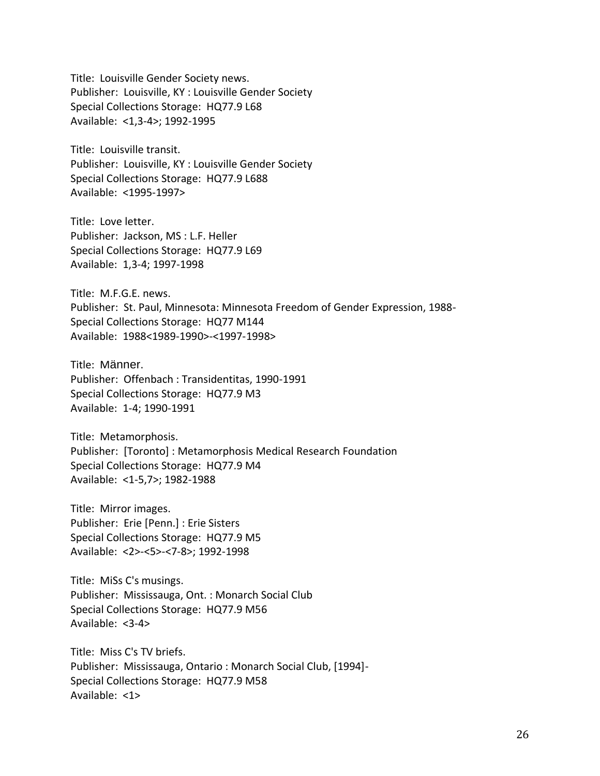Title: Louisville Gender Society news. Publisher: Louisville, KY : Louisville Gender Society Special Collections Storage: HQ77.9 L68 Available: <1,3-4>; 1992-1995

Title: Louisville transit. Publisher: Louisville, KY : Louisville Gender Society Special Collections Storage: HQ77.9 L688 Available: <1995-1997>

Title: Love letter. Publisher: Jackson, MS : L.F. Heller Special Collections Storage: HQ77.9 L69 Available: 1,3-4; 1997-1998

Title: M.F.G.E. news. Publisher: St. Paul, Minnesota: Minnesota Freedom of Gender Expression, 1988- Special Collections Storage: HQ77 M144 Available: 1988<1989-1990>-<1997-1998>

Title: Männer. Publisher: Offenbach : Transidentitas, 1990-1991 Special Collections Storage: HQ77.9 M3 Available: 1-4; 1990-1991

Title: Metamorphosis. Publisher: [Toronto] : Metamorphosis Medical Research Foundation Special Collections Storage: HQ77.9 M4 Available: <1-5,7>; 1982-1988

Title: Mirror images. Publisher: Erie [Penn.] : Erie Sisters Special Collections Storage: HQ77.9 M5 Available: <2>-<5>-<7-8>; 1992-1998

Title: MiSs C's musings. Publisher: Mississauga, Ont. : Monarch Social Club Special Collections Storage: HQ77.9 M56 Available: <3-4>

Title: Miss C's TV briefs. Publisher: Mississauga, Ontario : Monarch Social Club, [1994]- Special Collections Storage: HQ77.9 M58 Available: <1>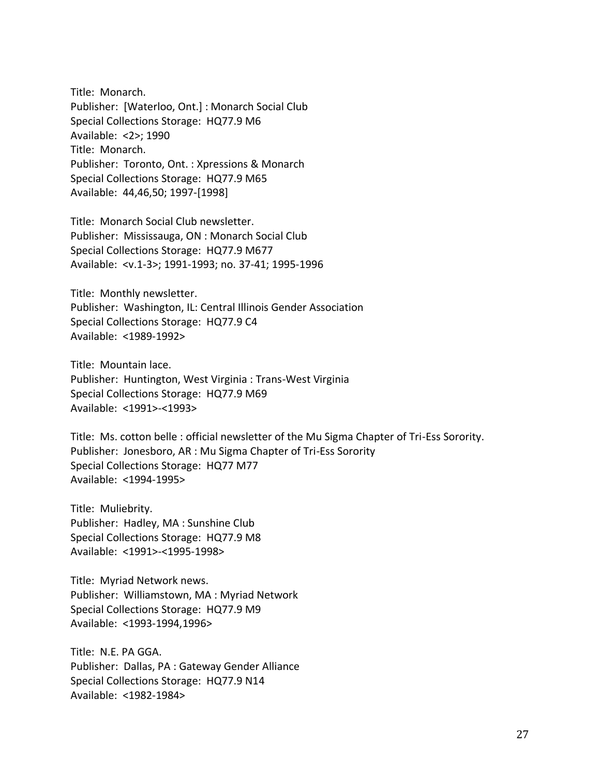Title: Monarch. Publisher: [Waterloo, Ont.] : Monarch Social Club Special Collections Storage: HQ77.9 M6 Available: <2>; 1990 Title: Monarch. Publisher: Toronto, Ont. : Xpressions & Monarch Special Collections Storage: HQ77.9 M65 Available: 44,46,50; 1997-[1998]

Title: Monarch Social Club newsletter. Publisher: Mississauga, ON : Monarch Social Club Special Collections Storage: HQ77.9 M677 Available: <v.1-3>; 1991-1993; no. 37-41; 1995-1996

Title: Monthly newsletter. Publisher: Washington, IL: Central Illinois Gender Association Special Collections Storage: HQ77.9 C4 Available: <1989-1992>

Title: Mountain lace. Publisher: Huntington, West Virginia : Trans-West Virginia Special Collections Storage: HQ77.9 M69 Available: <1991>-<1993>

Title: Ms. cotton belle : official newsletter of the Mu Sigma Chapter of Tri-Ess Sorority. Publisher: Jonesboro, AR : Mu Sigma Chapter of Tri-Ess Sorority Special Collections Storage: HQ77 M77 Available: <1994-1995>

Title: Muliebrity. Publisher: Hadley, MA : Sunshine Club Special Collections Storage: HQ77.9 M8 Available: <1991>-<1995-1998>

Title: Myriad Network news. Publisher: Williamstown, MA : Myriad Network Special Collections Storage: HQ77.9 M9 Available: <1993-1994,1996>

Title: N.E. PA GGA. Publisher: Dallas, PA : Gateway Gender Alliance Special Collections Storage: HQ77.9 N14 Available: <1982-1984>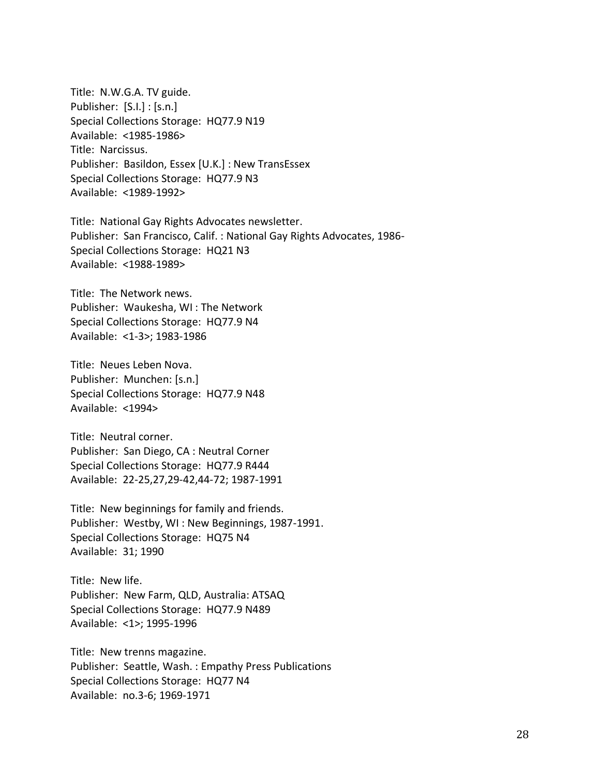Title: N.W.G.A. TV guide. Publisher: [S.I.] : [s.n.] Special Collections Storage: HQ77.9 N19 Available: <1985-1986> Title: Narcissus. Publisher: Basildon, Essex [U.K.] : New TransEssex Special Collections Storage: HQ77.9 N3 Available: <1989-1992>

Title: National Gay Rights Advocates newsletter. Publisher: San Francisco, Calif. : National Gay Rights Advocates, 1986- Special Collections Storage: HQ21 N3 Available: <1988-1989>

Title: The Network news. Publisher: Waukesha, WI : The Network Special Collections Storage: HQ77.9 N4 Available: <1-3>; 1983-1986

Title: Neues Leben Nova. Publisher: Munchen: [s.n.] Special Collections Storage: HQ77.9 N48 Available: <1994>

Title: Neutral corner. Publisher: San Diego, CA : Neutral Corner Special Collections Storage: HQ77.9 R444 Available: 22-25,27,29-42,44-72; 1987-1991

Title: New beginnings for family and friends. Publisher: Westby, WI : New Beginnings, 1987-1991. Special Collections Storage: HQ75 N4 Available: 31; 1990

Title: New life. Publisher: New Farm, QLD, Australia: ATSAQ Special Collections Storage: HQ77.9 N489 Available: <1>; 1995-1996

Title: New trenns magazine. Publisher: Seattle, Wash. : Empathy Press Publications Special Collections Storage: HQ77 N4 Available: no.3-6; 1969-1971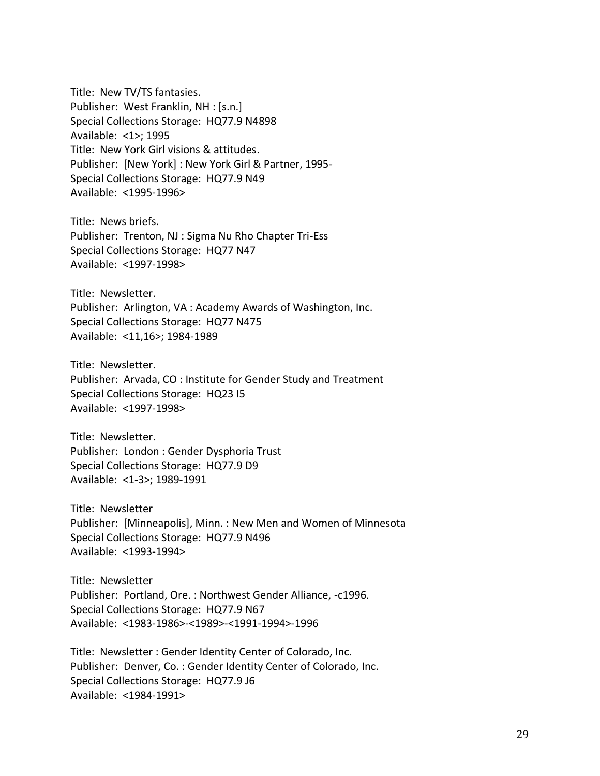Title: New TV/TS fantasies. Publisher: West Franklin, NH : [s.n.] Special Collections Storage: HQ77.9 N4898 Available: <1>; 1995 Title: New York Girl visions & attitudes. Publisher: [New York] : New York Girl & Partner, 1995- Special Collections Storage: HQ77.9 N49 Available: <1995-1996>

Title: News briefs. Publisher: Trenton, NJ : Sigma Nu Rho Chapter Tri-Ess Special Collections Storage: HQ77 N47 Available: <1997-1998>

Title: Newsletter. Publisher: Arlington, VA : Academy Awards of Washington, Inc. Special Collections Storage: HQ77 N475 Available: <11,16>; 1984-1989

Title: Newsletter. Publisher: Arvada, CO : Institute for Gender Study and Treatment Special Collections Storage: HQ23 I5 Available: <1997-1998>

Title: Newsletter. Publisher: London : Gender Dysphoria Trust Special Collections Storage: HQ77.9 D9 Available: <1-3>; 1989-1991

Title: Newsletter Publisher: [Minneapolis], Minn. : New Men and Women of Minnesota Special Collections Storage: HQ77.9 N496 Available: <1993-1994>

Title: Newsletter Publisher: Portland, Ore. : Northwest Gender Alliance, -c1996. Special Collections Storage: HQ77.9 N67 Available: <1983-1986>-<1989>-<1991-1994>-1996

Title: Newsletter : Gender Identity Center of Colorado, Inc. Publisher: Denver, Co. : Gender Identity Center of Colorado, Inc. Special Collections Storage: HQ77.9 J6 Available: <1984-1991>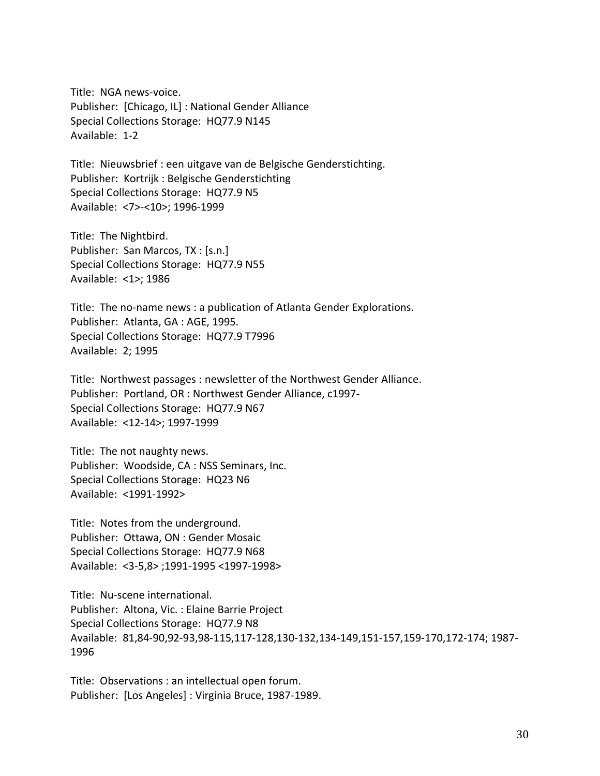Title: NGA news-voice. Publisher: [Chicago, IL] : National Gender Alliance Special Collections Storage: HQ77.9 N145 Available: 1-2

Title: Nieuwsbrief : een uitgave van de Belgische Genderstichting. Publisher: Kortrijk : Belgische Genderstichting Special Collections Storage: HQ77.9 N5 Available: <7>-<10>; 1996-1999

Title: The Nightbird. Publisher: San Marcos, TX : [s.n.] Special Collections Storage: HQ77.9 N55 Available: <1>; 1986

Title: The no-name news : a publication of Atlanta Gender Explorations. Publisher: Atlanta, GA : AGE, 1995. Special Collections Storage: HQ77.9 T7996 Available: 2; 1995

Title: Northwest passages : newsletter of the Northwest Gender Alliance. Publisher: Portland, OR : Northwest Gender Alliance, c1997- Special Collections Storage: HQ77.9 N67 Available: <12-14>; 1997-1999

Title: The not naughty news. Publisher: Woodside, CA : NSS Seminars, Inc. Special Collections Storage: HQ23 N6 Available: <1991-1992>

Title: Notes from the underground. Publisher: Ottawa, ON : Gender Mosaic Special Collections Storage: HQ77.9 N68 Available: <3-5,8> ;1991-1995 <1997-1998>

Title: Nu-scene international. Publisher: Altona, Vic. : Elaine Barrie Project Special Collections Storage: HQ77.9 N8 Available: 81,84-90,92-93,98-115,117-128,130-132,134-149,151-157,159-170,172-174; 1987- 1996

Title: Observations : an intellectual open forum. Publisher: [Los Angeles] : Virginia Bruce, 1987-1989.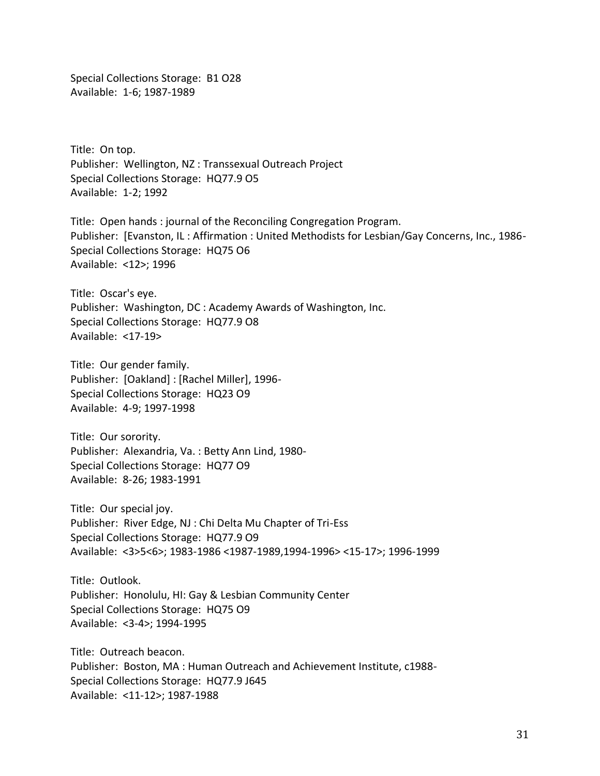Special Collections Storage: B1 O28 Available: 1-6; 1987-1989

Title: On top. Publisher: Wellington, NZ : Transsexual Outreach Project Special Collections Storage: HQ77.9 O5 Available: 1-2; 1992

Title: Open hands : journal of the Reconciling Congregation Program. Publisher: [Evanston, IL : Affirmation : United Methodists for Lesbian/Gay Concerns, Inc., 1986- Special Collections Storage: HQ75 O6 Available: <12>; 1996

Title: Oscar's eye. Publisher: Washington, DC : Academy Awards of Washington, Inc. Special Collections Storage: HQ77.9 O8 Available: <17-19>

Title: Our gender family. Publisher: [Oakland] : [Rachel Miller], 1996- Special Collections Storage: HQ23 O9 Available: 4-9; 1997-1998

Title: Our sorority. Publisher: Alexandria, Va. : Betty Ann Lind, 1980- Special Collections Storage: HQ77 O9 Available: 8-26; 1983-1991

Title: Our special joy. Publisher: River Edge, NJ : Chi Delta Mu Chapter of Tri-Ess Special Collections Storage: HQ77.9 O9 Available: <3>5<6>; 1983-1986 <1987-1989,1994-1996> <15-17>; 1996-1999

Title: Outlook. Publisher: Honolulu, HI: Gay & Lesbian Community Center Special Collections Storage: HQ75 O9 Available: <3-4>; 1994-1995

Title: Outreach beacon. Publisher: Boston, MA : Human Outreach and Achievement Institute, c1988- Special Collections Storage: HQ77.9 J645 Available: <11-12>; 1987-1988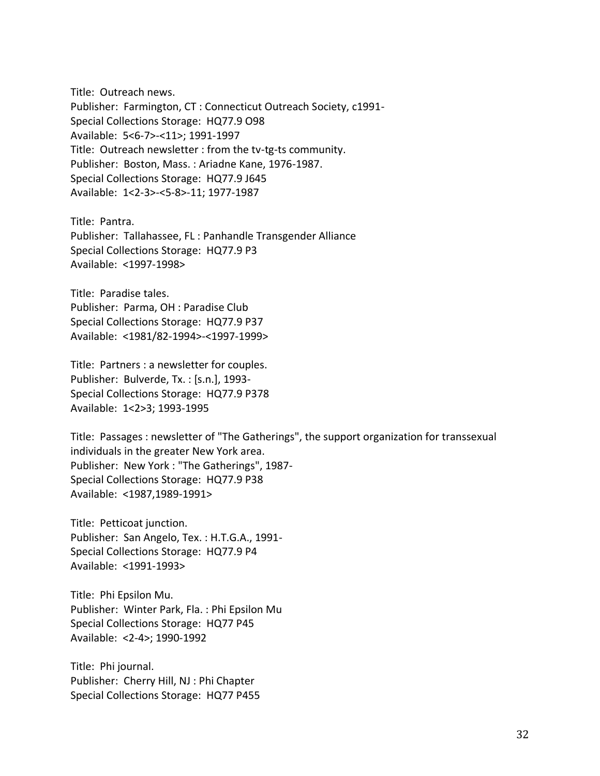Title: Outreach news. Publisher: Farmington, CT : Connecticut Outreach Society, c1991- Special Collections Storage: HQ77.9 O98 Available: 5<6-7>-<11>; 1991-1997 Title: Outreach newsletter : from the tv-tg-ts community. Publisher: Boston, Mass. : Ariadne Kane, 1976-1987. Special Collections Storage: HQ77.9 J645 Available: 1<2-3>-<5-8>-11; 1977-1987

Title: Pantra. Publisher: Tallahassee, FL : Panhandle Transgender Alliance Special Collections Storage: HQ77.9 P3 Available: <1997-1998>

Title: Paradise tales. Publisher: Parma, OH : Paradise Club Special Collections Storage: HQ77.9 P37 Available: <1981/82-1994>-<1997-1999>

Title: Partners : a newsletter for couples. Publisher: Bulverde, Tx. : [s.n.], 1993- Special Collections Storage: HQ77.9 P378 Available: 1<2>3; 1993-1995

Title: Passages : newsletter of "The Gatherings", the support organization for transsexual individuals in the greater New York area. Publisher: New York : "The Gatherings", 1987- Special Collections Storage: HQ77.9 P38 Available: <1987,1989-1991>

Title: Petticoat junction. Publisher: San Angelo, Tex. : H.T.G.A., 1991- Special Collections Storage: HQ77.9 P4 Available: <1991-1993>

Title: Phi Epsilon Mu. Publisher: Winter Park, Fla. : Phi Epsilon Mu Special Collections Storage: HQ77 P45 Available: <2-4>; 1990-1992

Title: Phi journal. Publisher: Cherry Hill, NJ : Phi Chapter Special Collections Storage: HQ77 P455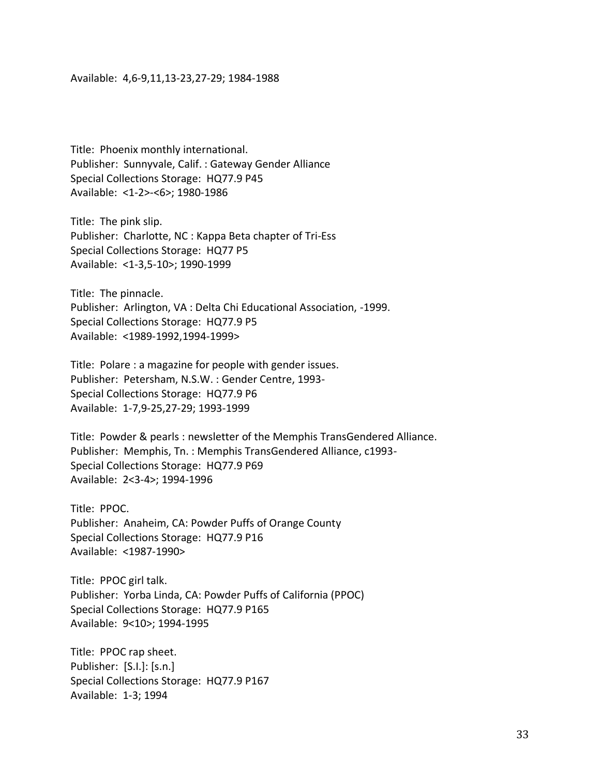## Available: 4,6-9,11,13-23,27-29; 1984-1988

Title: Phoenix monthly international. Publisher: Sunnyvale, Calif. : Gateway Gender Alliance Special Collections Storage: HQ77.9 P45 Available: <1-2>-<6>; 1980-1986

Title: The pink slip. Publisher: Charlotte, NC : Kappa Beta chapter of Tri-Ess Special Collections Storage: HQ77 P5 Available: <1-3,5-10>; 1990-1999

Title: The pinnacle. Publisher: Arlington, VA : Delta Chi Educational Association, -1999. Special Collections Storage: HQ77.9 P5 Available: <1989-1992,1994-1999>

Title: Polare : a magazine for people with gender issues. Publisher: Petersham, N.S.W. : Gender Centre, 1993- Special Collections Storage: HQ77.9 P6 Available: 1-7,9-25,27-29; 1993-1999

Title: Powder & pearls : newsletter of the Memphis TransGendered Alliance. Publisher: Memphis, Tn. : Memphis TransGendered Alliance, c1993- Special Collections Storage: HQ77.9 P69 Available: 2<3-4>; 1994-1996

Title: PPOC. Publisher: Anaheim, CA: Powder Puffs of Orange County Special Collections Storage: HQ77.9 P16 Available: <1987-1990>

Title: PPOC girl talk. Publisher: Yorba Linda, CA: Powder Puffs of California (PPOC) Special Collections Storage: HQ77.9 P165 Available: 9<10>; 1994-1995

Title: PPOC rap sheet. Publisher: [S.I.]: [s.n.] Special Collections Storage: HQ77.9 P167 Available: 1-3; 1994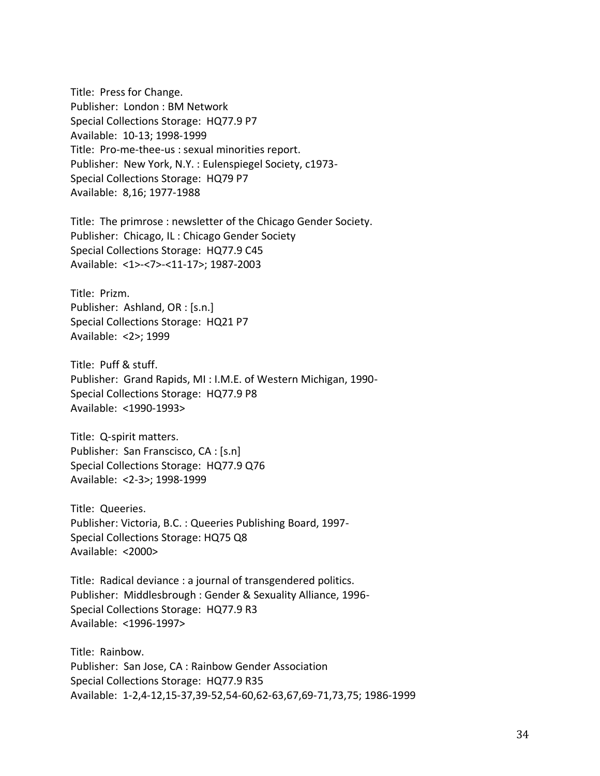Title: Press for Change. Publisher: London : BM Network Special Collections Storage: HQ77.9 P7 Available: 10-13; 1998-1999 Title: Pro-me-thee-us : sexual minorities report. Publisher: New York, N.Y. : Eulenspiegel Society, c1973- Special Collections Storage: HQ79 P7 Available: 8,16; 1977-1988

Title: The primrose : newsletter of the Chicago Gender Society. Publisher: Chicago, IL : Chicago Gender Society Special Collections Storage: HQ77.9 C45 Available: <1>-<7>-<11-17>; 1987-2003

Title: Prizm. Publisher: Ashland, OR : [s.n.] Special Collections Storage: HQ21 P7 Available: <2>; 1999

Title: Puff & stuff. Publisher: Grand Rapids, MI : I.M.E. of Western Michigan, 1990- Special Collections Storage: HQ77.9 P8 Available: <1990-1993>

Title: Q-spirit matters. Publisher: San Franscisco, CA : [s.n] Special Collections Storage: HQ77.9 Q76 Available: <2-3>; 1998-1999

Title: Queeries. Publisher: Victoria, B.C. : Queeries Publishing Board, 1997- Special Collections Storage: HQ75 Q8 Available: <2000>

Title: Radical deviance : a journal of transgendered politics. Publisher: Middlesbrough : Gender & Sexuality Alliance, 1996- Special Collections Storage: HQ77.9 R3 Available: <1996-1997>

Title: Rainbow. Publisher: San Jose, CA : Rainbow Gender Association Special Collections Storage: HQ77.9 R35 Available: 1-2,4-12,15-37,39-52,54-60,62-63,67,69-71,73,75; 1986-1999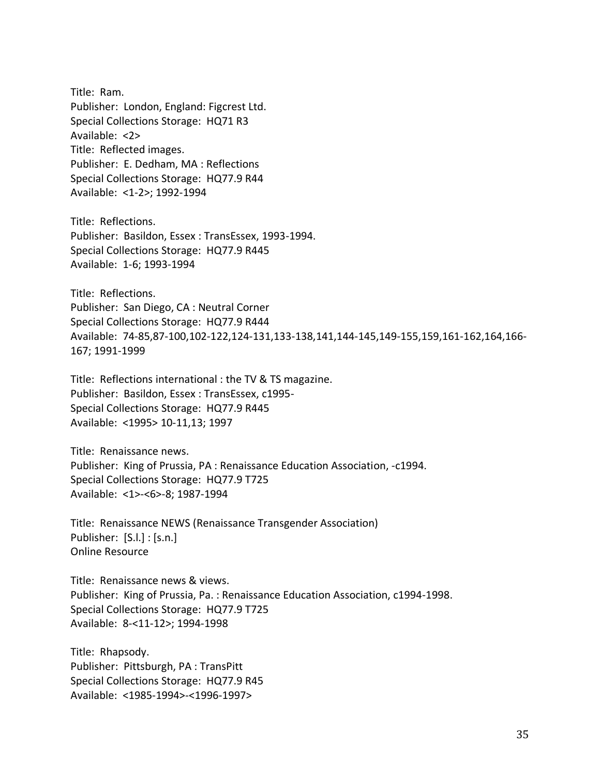Title: Ram. Publisher: London, England: Figcrest Ltd. Special Collections Storage: HQ71 R3 Available: <2> Title: Reflected images. Publisher: E. Dedham, MA : Reflections Special Collections Storage: HQ77.9 R44 Available: <1-2>; 1992-1994

Title: Reflections. Publisher: Basildon, Essex : TransEssex, 1993-1994. Special Collections Storage: HQ77.9 R445 Available: 1-6; 1993-1994

Title: Reflections. Publisher: San Diego, CA : Neutral Corner Special Collections Storage: HQ77.9 R444 Available: 74-85,87-100,102-122,124-131,133-138,141,144-145,149-155,159,161-162,164,166- 167; 1991-1999

Title: Reflections international : the TV & TS magazine. Publisher: Basildon, Essex : TransEssex, c1995- Special Collections Storage: HQ77.9 R445 Available: <1995> 10-11,13; 1997

Title: Renaissance news. Publisher: King of Prussia, PA : Renaissance Education Association, -c1994. Special Collections Storage: HQ77.9 T725 Available: <1>-<6>-8; 1987-1994

Title: Renaissance NEWS (Renaissance Transgender Association) Publisher: [S.l.] : [s.n.] Online Resource

Title: Renaissance news & views. Publisher: King of Prussia, Pa. : Renaissance Education Association, c1994-1998. Special Collections Storage: HQ77.9 T725 Available: 8-<11-12>; 1994-1998

Title: Rhapsody. Publisher: Pittsburgh, PA : TransPitt Special Collections Storage: HQ77.9 R45 Available: <1985-1994>-<1996-1997>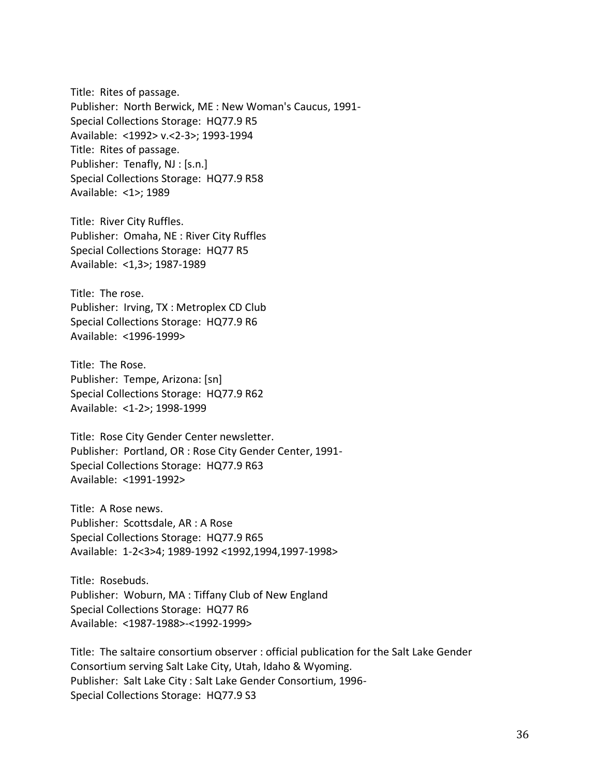Title: Rites of passage. Publisher: North Berwick, ME : New Woman's Caucus, 1991- Special Collections Storage: HQ77.9 R5 Available: <1992> v.<2-3>; 1993-1994 Title: Rites of passage. Publisher: Tenafly, NJ : [s.n.] Special Collections Storage: HQ77.9 R58 Available: <1>; 1989

Title: River City Ruffles. Publisher: Omaha, NE : River City Ruffles Special Collections Storage: HQ77 R5 Available: <1,3>; 1987-1989

Title: The rose. Publisher: Irving, TX : Metroplex CD Club Special Collections Storage: HQ77.9 R6 Available: <1996-1999>

Title: The Rose. Publisher: Tempe, Arizona: [sn] Special Collections Storage: HQ77.9 R62 Available: <1-2>; 1998-1999

Title: Rose City Gender Center newsletter. Publisher: Portland, OR : Rose City Gender Center, 1991- Special Collections Storage: HQ77.9 R63 Available: <1991-1992>

Title: A Rose news. Publisher: Scottsdale, AR : A Rose Special Collections Storage: HQ77.9 R65 Available: 1-2<3>4; 1989-1992 <1992,1994,1997-1998>

Title: Rosebuds. Publisher: Woburn, MA : Tiffany Club of New England Special Collections Storage: HQ77 R6 Available: <1987-1988>-<1992-1999>

Title: The saltaire consortium observer : official publication for the Salt Lake Gender Consortium serving Salt Lake City, Utah, Idaho & Wyoming. Publisher: Salt Lake City : Salt Lake Gender Consortium, 1996- Special Collections Storage: HQ77.9 S3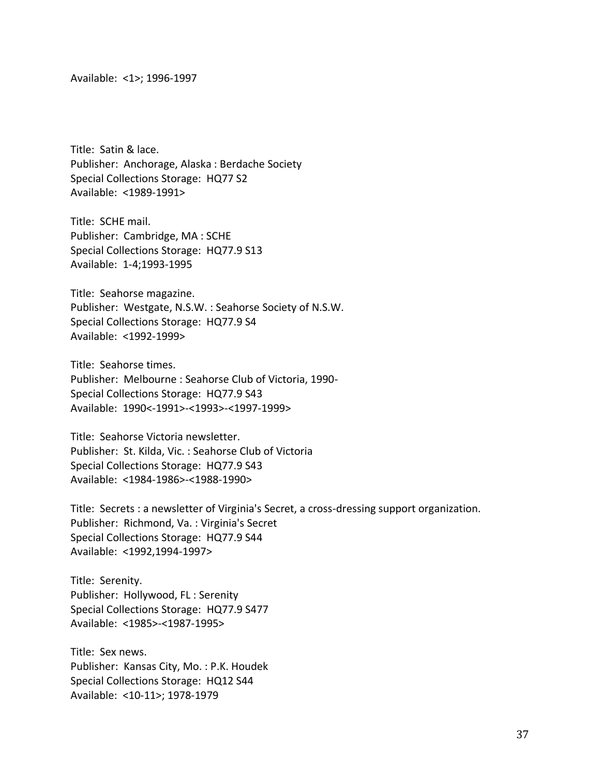Available: <1>; 1996-1997

Title: Satin & lace. Publisher: Anchorage, Alaska : Berdache Society Special Collections Storage: HQ77 S2 Available: <1989-1991>

Title: SCHE mail. Publisher: Cambridge, MA : SCHE Special Collections Storage: HQ77.9 S13 Available: 1-4;1993-1995

Title: Seahorse magazine. Publisher: Westgate, N.S.W. : Seahorse Society of N.S.W. Special Collections Storage: HQ77.9 S4 Available: <1992-1999>

Title: Seahorse times. Publisher: Melbourne : Seahorse Club of Victoria, 1990- Special Collections Storage: HQ77.9 S43 Available: 1990<-1991>-<1993>-<1997-1999>

Title: Seahorse Victoria newsletter. Publisher: St. Kilda, Vic. : Seahorse Club of Victoria Special Collections Storage: HQ77.9 S43 Available: <1984-1986>-<1988-1990>

Title: Secrets : a newsletter of Virginia's Secret, a cross-dressing support organization. Publisher: Richmond, Va. : Virginia's Secret Special Collections Storage: HQ77.9 S44 Available: <1992,1994-1997>

Title: Serenity. Publisher: Hollywood, FL : Serenity Special Collections Storage: HQ77.9 S477 Available: <1985>-<1987-1995>

Title: Sex news. Publisher: Kansas City, Mo. : P.K. Houdek Special Collections Storage: HQ12 S44 Available: <10-11>; 1978-1979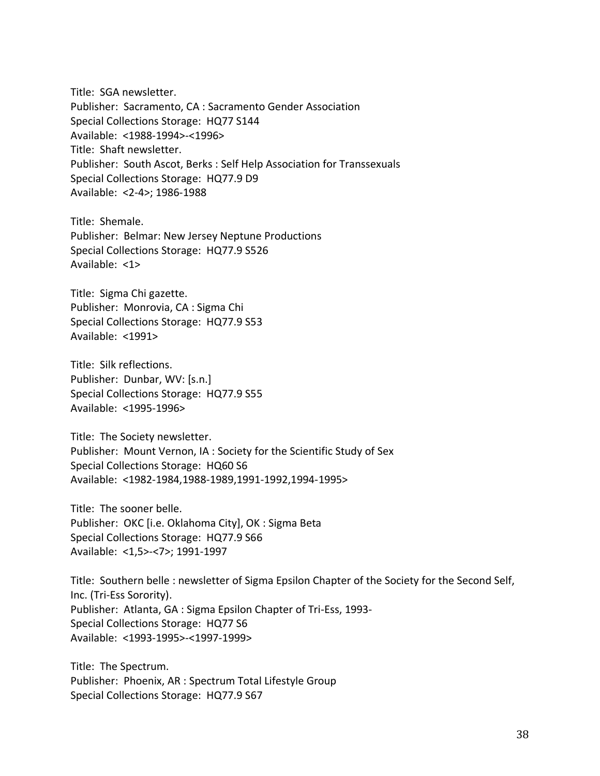Title: SGA newsletter. Publisher: Sacramento, CA : Sacramento Gender Association Special Collections Storage: HQ77 S144 Available: <1988-1994>-<1996> Title: Shaft newsletter. Publisher: South Ascot, Berks : Self Help Association for Transsexuals Special Collections Storage: HQ77.9 D9 Available: <2-4>; 1986-1988

Title: Shemale. Publisher: Belmar: New Jersey Neptune Productions Special Collections Storage: HQ77.9 S526 Available: <1>

Title: Sigma Chi gazette. Publisher: Monrovia, CA : Sigma Chi Special Collections Storage: HQ77.9 S53 Available: <1991>

Title: Silk reflections. Publisher: Dunbar, WV: [s.n.] Special Collections Storage: HQ77.9 S55 Available: <1995-1996>

Title: The Society newsletter. Publisher: Mount Vernon, IA : Society for the Scientific Study of Sex Special Collections Storage: HQ60 S6 Available: <1982-1984,1988-1989,1991-1992,1994-1995>

Title: The sooner belle. Publisher: OKC [i.e. Oklahoma City], OK : Sigma Beta Special Collections Storage: HQ77.9 S66 Available: <1,5>-<7>; 1991-1997

Title: Southern belle : newsletter of Sigma Epsilon Chapter of the Society for the Second Self, Inc. (Tri-Ess Sorority). Publisher: Atlanta, GA : Sigma Epsilon Chapter of Tri-Ess, 1993- Special Collections Storage: HQ77 S6 Available: <1993-1995>-<1997-1999>

Title: The Spectrum. Publisher: Phoenix, AR : Spectrum Total Lifestyle Group Special Collections Storage: HQ77.9 S67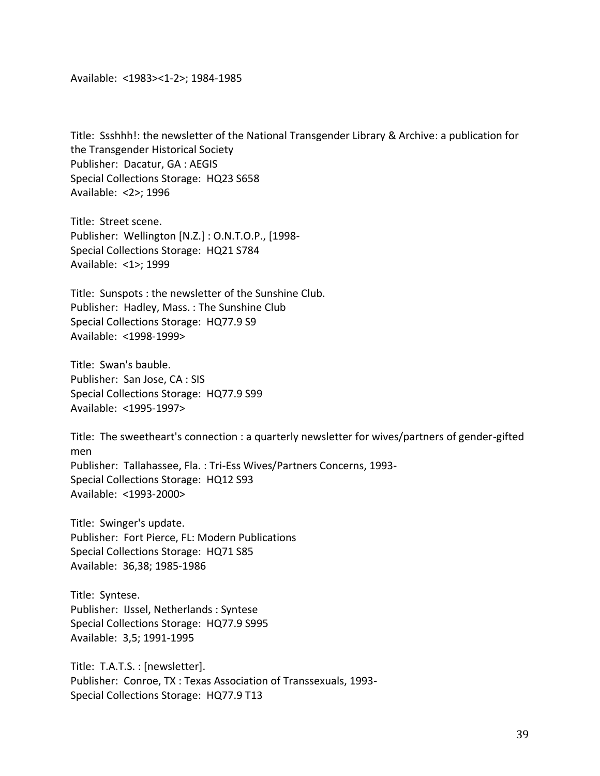Available: <1983><1-2>; 1984-1985

Title: Ssshhh!: the newsletter of the National Transgender Library & Archive: a publication for the Transgender Historical Society Publisher: Dacatur, GA : AEGIS Special Collections Storage: HQ23 S658 Available: <2>; 1996

Title: Street scene. Publisher: Wellington [N.Z.] : O.N.T.O.P., [1998- Special Collections Storage: HQ21 S784 Available: <1>; 1999

Title: Sunspots : the newsletter of the Sunshine Club. Publisher: Hadley, Mass. : The Sunshine Club Special Collections Storage: HQ77.9 S9 Available: <1998-1999>

Title: Swan's bauble. Publisher: San Jose, CA : SIS Special Collections Storage: HQ77.9 S99 Available: <1995-1997>

Title: The sweetheart's connection : a quarterly newsletter for wives/partners of gender-gifted men Publisher: Tallahassee, Fla. : Tri-Ess Wives/Partners Concerns, 1993- Special Collections Storage: HQ12 S93 Available: <1993-2000>

Title: Swinger's update. Publisher: Fort Pierce, FL: Modern Publications Special Collections Storage: HQ71 S85 Available: 36,38; 1985-1986

Title: Syntese. Publisher: IJssel, Netherlands : Syntese Special Collections Storage: HQ77.9 S995 Available: 3,5; 1991-1995

Title: T.A.T.S. : [newsletter]. Publisher: Conroe, TX : Texas Association of Transsexuals, 1993- Special Collections Storage: HQ77.9 T13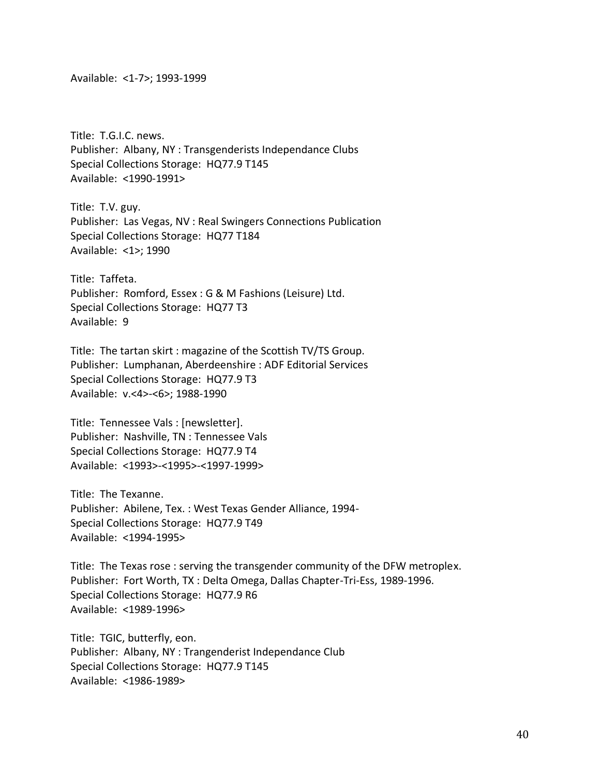Available: <1-7>; 1993-1999

Title: T.G.I.C. news. Publisher: Albany, NY : Transgenderists Independance Clubs Special Collections Storage: HQ77.9 T145 Available: <1990-1991>

Title: T.V. guy. Publisher: Las Vegas, NV : Real Swingers Connections Publication Special Collections Storage: HQ77 T184 Available: <1>; 1990

Title: Taffeta. Publisher: Romford, Essex : G & M Fashions (Leisure) Ltd. Special Collections Storage: HQ77 T3 Available: 9

Title: The tartan skirt : magazine of the Scottish TV/TS Group. Publisher: Lumphanan, Aberdeenshire : ADF Editorial Services Special Collections Storage: HQ77.9 T3 Available: v.<4>-<6>; 1988-1990

Title: Tennessee Vals : [newsletter]. Publisher: Nashville, TN : Tennessee Vals Special Collections Storage: HQ77.9 T4 Available: <1993>-<1995>-<1997-1999>

Title: The Texanne. Publisher: Abilene, Tex. : West Texas Gender Alliance, 1994- Special Collections Storage: HQ77.9 T49 Available: <1994-1995>

Title: The Texas rose : serving the transgender community of the DFW metroplex. Publisher: Fort Worth, TX : Delta Omega, Dallas Chapter-Tri-Ess, 1989-1996. Special Collections Storage: HQ77.9 R6 Available: <1989-1996>

Title: TGIC, butterfly, eon. Publisher: Albany, NY : Trangenderist Independance Club Special Collections Storage: HQ77.9 T145 Available: <1986-1989>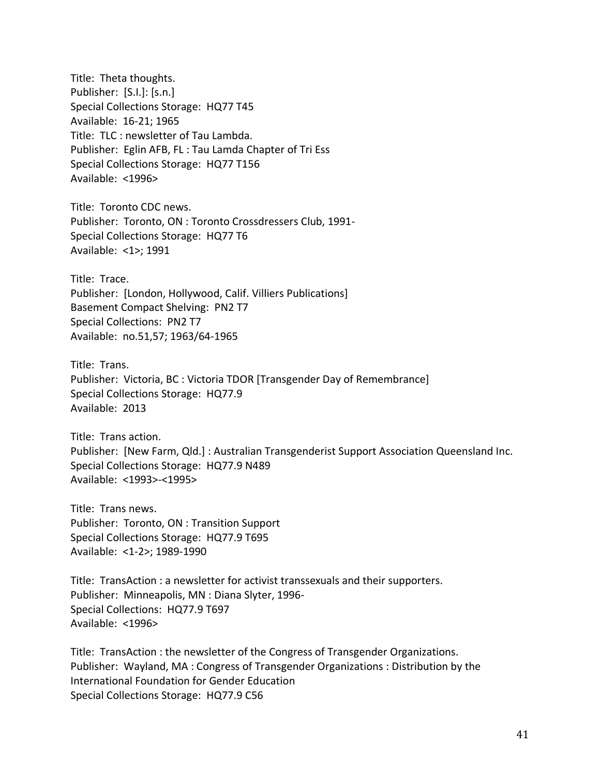Title: Theta thoughts. Publisher: [S.I.]: [s.n.] Special Collections Storage: HQ77 T45 Available: 16-21; 1965 Title: TLC : newsletter of Tau Lambda. Publisher: Eglin AFB, FL : Tau Lamda Chapter of Tri Ess Special Collections Storage: HQ77 T156 Available: <1996>

Title: Toronto CDC news. Publisher: Toronto, ON : Toronto Crossdressers Club, 1991- Special Collections Storage: HQ77 T6 Available: <1>; 1991

Title: Trace. Publisher: [London, Hollywood, Calif. Villiers Publications] Basement Compact Shelving: PN2 T7 Special Collections: PN2 T7 Available: no.51,57; 1963/64-1965

Title: Trans. Publisher: Victoria, BC : Victoria TDOR [Transgender Day of Remembrance] Special Collections Storage: HQ77.9 Available: 2013

Title: Trans action. Publisher: [New Farm, Qld.] : Australian Transgenderist Support Association Queensland Inc. Special Collections Storage: HQ77.9 N489 Available: <1993>-<1995>

Title: Trans news. Publisher: Toronto, ON : Transition Support Special Collections Storage: HQ77.9 T695 Available: <1-2>; 1989-1990

Title: TransAction : a newsletter for activist transsexuals and their supporters. Publisher: Minneapolis, MN : Diana Slyter, 1996- Special Collections: HQ77.9 T697 Available: <1996>

Title: TransAction : the newsletter of the Congress of Transgender Organizations. Publisher: Wayland, MA : Congress of Transgender Organizations : Distribution by the International Foundation for Gender Education Special Collections Storage: HQ77.9 C56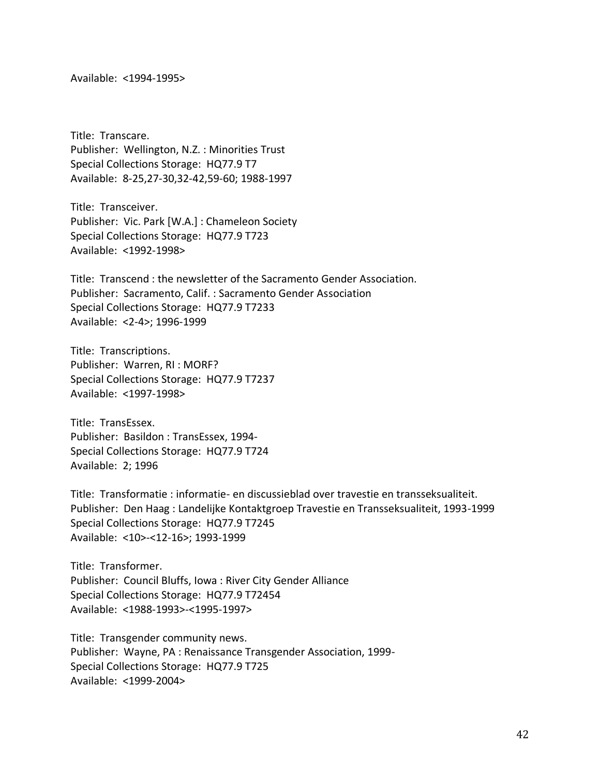Available: <1994-1995>

Title: Transcare. Publisher: Wellington, N.Z. : Minorities Trust Special Collections Storage: HQ77.9 T7 Available: 8-25,27-30,32-42,59-60; 1988-1997

Title: Transceiver. Publisher: Vic. Park [W.A.] : Chameleon Society Special Collections Storage: HQ77.9 T723 Available: <1992-1998>

Title: Transcend : the newsletter of the Sacramento Gender Association. Publisher: Sacramento, Calif. : Sacramento Gender Association Special Collections Storage: HQ77.9 T7233 Available: <2-4>; 1996-1999

Title: Transcriptions. Publisher: Warren, RI : MORF? Special Collections Storage: HQ77.9 T7237 Available: <1997-1998>

Title: TransEssex. Publisher: Basildon : TransEssex, 1994- Special Collections Storage: HQ77.9 T724 Available: 2; 1996

Title: Transformatie : informatie- en discussieblad over travestie en transseksualiteit. Publisher: Den Haag : Landelijke Kontaktgroep Travestie en Transseksualiteit, 1993-1999 Special Collections Storage: HQ77.9 T7245 Available: <10>-<12-16>; 1993-1999

Title: Transformer. Publisher: Council Bluffs, Iowa : River City Gender Alliance Special Collections Storage: HQ77.9 T72454 Available: <1988-1993>-<1995-1997>

Title: Transgender community news. Publisher: Wayne, PA : Renaissance Transgender Association, 1999- Special Collections Storage: HQ77.9 T725 Available: <1999-2004>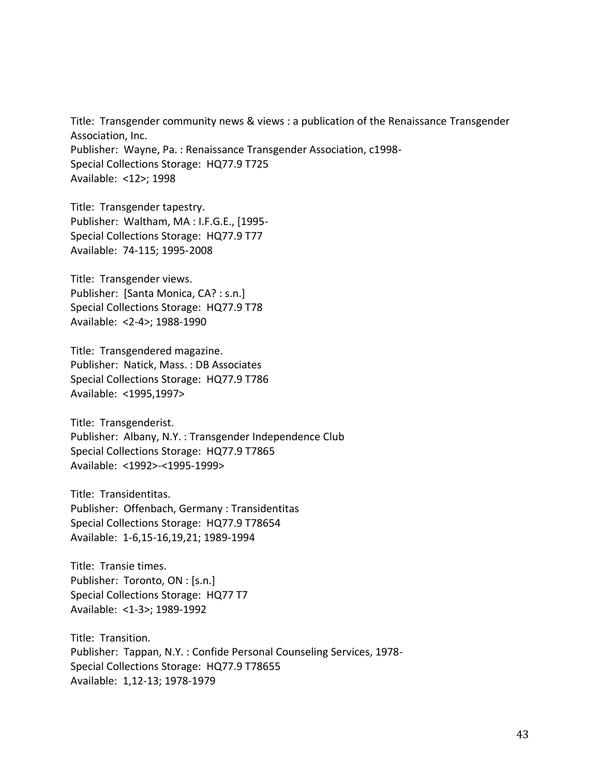Title: Transgender community news & views : a publication of the Renaissance Transgender Association, Inc. Publisher: Wayne, Pa. : Renaissance Transgender Association, c1998- Special Collections Storage: HQ77.9 T725 Available: <12>; 1998

Title: Transgender tapestry. Publisher: Waltham, MA : I.F.G.E., [1995- Special Collections Storage: HQ77.9 T77 Available: 74-115; 1995-2008

Title: Transgender views. Publisher: [Santa Monica, CA? : s.n.] Special Collections Storage: HQ77.9 T78 Available: <2-4>; 1988-1990

Title: Transgendered magazine. Publisher: Natick, Mass. : DB Associates Special Collections Storage: HQ77.9 T786 Available: <1995,1997>

Title: Transgenderist. Publisher: Albany, N.Y. : Transgender Independence Club Special Collections Storage: HQ77.9 T7865 Available: <1992>-<1995-1999>

Title: Transidentitas. Publisher: Offenbach, Germany : Transidentitas Special Collections Storage: HQ77.9 T78654 Available: 1-6,15-16,19,21; 1989-1994

Title: Transie times. Publisher: Toronto, ON : [s.n.] Special Collections Storage: HQ77 T7 Available: <1-3>; 1989-1992

Title: Transition. Publisher: Tappan, N.Y. : Confide Personal Counseling Services, 1978- Special Collections Storage: HQ77.9 T78655 Available: 1,12-13; 1978-1979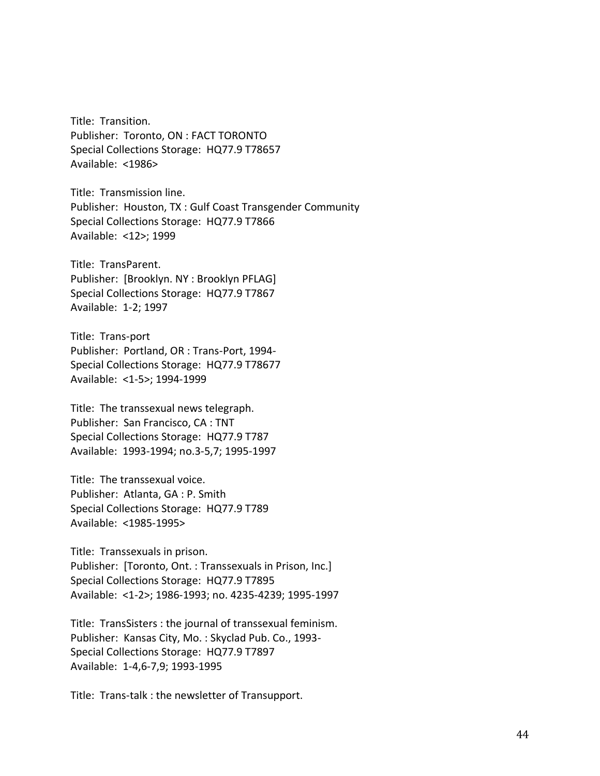Title: Transition. Publisher: Toronto, ON : FACT TORONTO Special Collections Storage: HQ77.9 T78657 Available: <1986>

Title: Transmission line. Publisher: Houston, TX : Gulf Coast Transgender Community Special Collections Storage: HQ77.9 T7866 Available: <12>; 1999

Title: TransParent. Publisher: [Brooklyn. NY : Brooklyn PFLAG] Special Collections Storage: HQ77.9 T7867 Available: 1-2; 1997

Title: Trans-port Publisher: Portland, OR : Trans-Port, 1994- Special Collections Storage: HQ77.9 T78677 Available: <1-5>; 1994-1999

Title: The transsexual news telegraph. Publisher: San Francisco, CA : TNT Special Collections Storage: HQ77.9 T787 Available: 1993-1994; no.3-5,7; 1995-1997

Title: The transsexual voice. Publisher: Atlanta, GA : P. Smith Special Collections Storage: HQ77.9 T789 Available: <1985-1995>

Title: Transsexuals in prison. Publisher: [Toronto, Ont. : Transsexuals in Prison, Inc.] Special Collections Storage: HQ77.9 T7895 Available: <1-2>; 1986-1993; no. 4235-4239; 1995-1997

Title: TransSisters : the journal of transsexual feminism. Publisher: Kansas City, Mo. : Skyclad Pub. Co., 1993- Special Collections Storage: HQ77.9 T7897 Available: 1-4,6-7,9; 1993-1995

Title: Trans-talk : the newsletter of Transupport.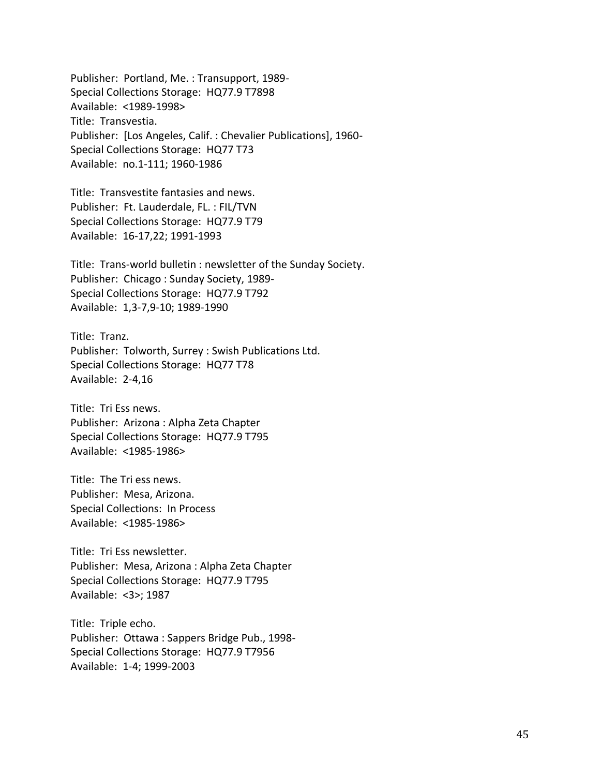Publisher: Portland, Me. : Transupport, 1989- Special Collections Storage: HQ77.9 T7898 Available: <1989-1998> Title: Transvestia. Publisher: [Los Angeles, Calif. : Chevalier Publications], 1960- Special Collections Storage: HQ77 T73 Available: no.1-111; 1960-1986

Title: Transvestite fantasies and news. Publisher: Ft. Lauderdale, FL. : FIL/TVN Special Collections Storage: HQ77.9 T79 Available: 16-17,22; 1991-1993

Title: Trans-world bulletin : newsletter of the Sunday Society. Publisher: Chicago : Sunday Society, 1989- Special Collections Storage: HQ77.9 T792 Available: 1,3-7,9-10; 1989-1990

Title: Tranz. Publisher: Tolworth, Surrey : Swish Publications Ltd. Special Collections Storage: HQ77 T78 Available: 2-4,16

Title: Tri Ess news. Publisher: Arizona : Alpha Zeta Chapter Special Collections Storage: HQ77.9 T795 Available: <1985-1986>

Title: The Tri ess news. Publisher: Mesa, Arizona. Special Collections: In Process Available: <1985-1986>

Title: Tri Ess newsletter. Publisher: Mesa, Arizona : Alpha Zeta Chapter Special Collections Storage: HQ77.9 T795 Available: <3>; 1987

Title: Triple echo. Publisher: Ottawa : Sappers Bridge Pub., 1998- Special Collections Storage: HQ77.9 T7956 Available: 1-4; 1999-2003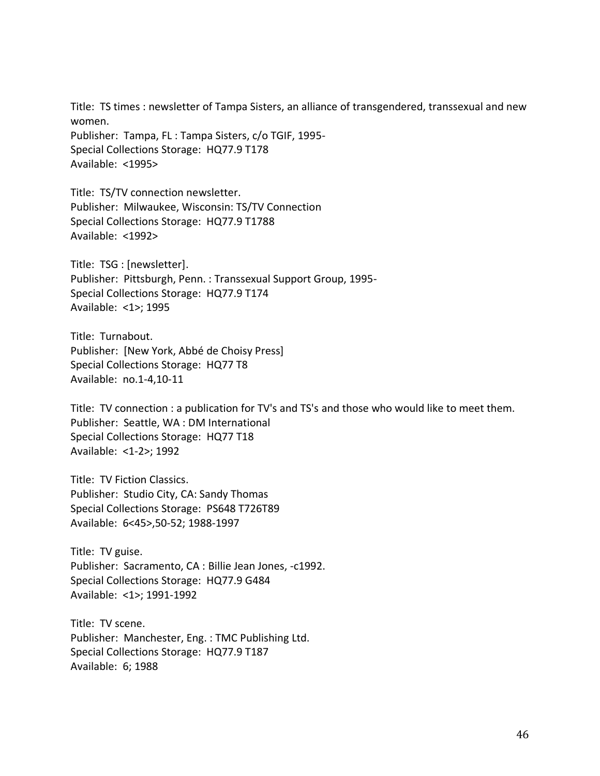Title: TS times : newsletter of Tampa Sisters, an alliance of transgendered, transsexual and new women. Publisher: Tampa, FL : Tampa Sisters, c/o TGIF, 1995-

Special Collections Storage: HQ77.9 T178 Available: <1995>

Title: TS/TV connection newsletter. Publisher: Milwaukee, Wisconsin: TS/TV Connection Special Collections Storage: HQ77.9 T1788 Available: <1992>

Title: TSG : [newsletter]. Publisher: Pittsburgh, Penn. : Transsexual Support Group, 1995- Special Collections Storage: HQ77.9 T174 Available: <1>; 1995

Title: Turnabout. Publisher: [New York, Abbé de Choisy Press] Special Collections Storage: HQ77 T8 Available: no.1-4,10-11

Title: TV connection : a publication for TV's and TS's and those who would like to meet them. Publisher: Seattle, WA : DM International Special Collections Storage: HQ77 T18 Available: <1-2>; 1992

Title: TV Fiction Classics. Publisher: Studio City, CA: Sandy Thomas Special Collections Storage: PS648 T726T89 Available: 6<45>,50-52; 1988-1997

Title: TV guise. Publisher: Sacramento, CA : Billie Jean Jones, -c1992. Special Collections Storage: HQ77.9 G484 Available: <1>; 1991-1992

Title: TV scene. Publisher: Manchester, Eng. : TMC Publishing Ltd. Special Collections Storage: HQ77.9 T187 Available: 6; 1988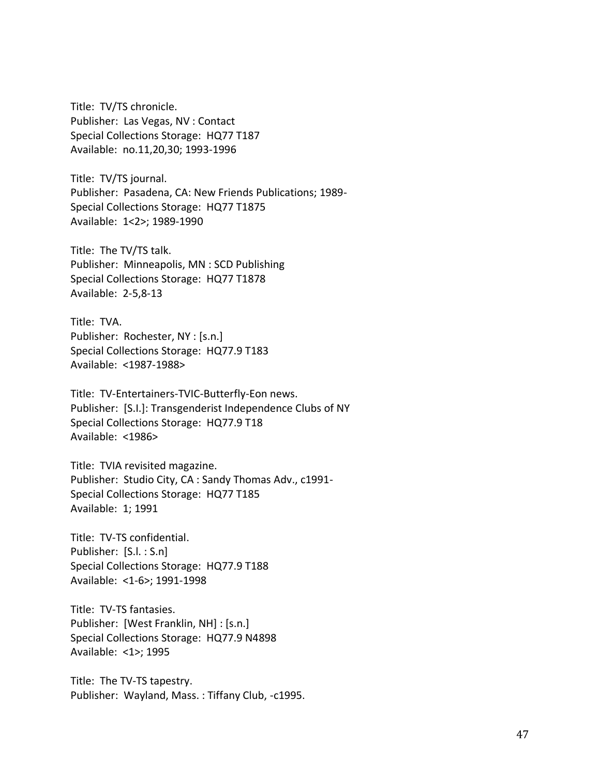Title: TV/TS chronicle. Publisher: Las Vegas, NV : Contact Special Collections Storage: HQ77 T187 Available: no.11,20,30; 1993-1996

Title: TV/TS journal. Publisher: Pasadena, CA: New Friends Publications; 1989- Special Collections Storage: HQ77 T1875 Available: 1<2>; 1989-1990

Title: The TV/TS talk. Publisher: Minneapolis, MN : SCD Publishing Special Collections Storage: HQ77 T1878 Available: 2-5,8-13

Title: TVA. Publisher: Rochester, NY : [s.n.] Special Collections Storage: HQ77.9 T183 Available: <1987-1988>

Title: TV-Entertainers-TVIC-Butterfly-Eon news. Publisher: [S.I.]: Transgenderist Independence Clubs of NY Special Collections Storage: HQ77.9 T18 Available: <1986>

Title: TVIA revisited magazine. Publisher: Studio City, CA : Sandy Thomas Adv., c1991- Special Collections Storage: HQ77 T185 Available: 1; 1991

Title: TV-TS confidential. Publisher: [S.l. : S.n] Special Collections Storage: HQ77.9 T188 Available: <1-6>; 1991-1998

Title: TV-TS fantasies. Publisher: [West Franklin, NH] : [s.n.] Special Collections Storage: HQ77.9 N4898 Available: <1>; 1995

Title: The TV-TS tapestry. Publisher: Wayland, Mass. : Tiffany Club, -c1995.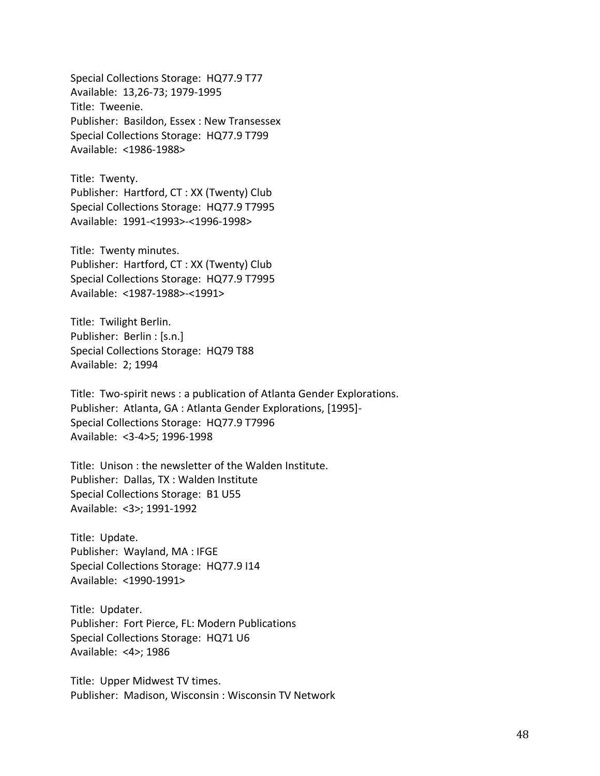Special Collections Storage: HQ77.9 T77 Available: 13,26-73; 1979-1995 Title: Tweenie. Publisher: Basildon, Essex : New Transessex Special Collections Storage: HQ77.9 T799 Available: <1986-1988>

Title: Twenty. Publisher: Hartford, CT : XX (Twenty) Club Special Collections Storage: HQ77.9 T7995 Available: 1991-<1993>-<1996-1998>

Title: Twenty minutes. Publisher: Hartford, CT : XX (Twenty) Club Special Collections Storage: HQ77.9 T7995 Available: <1987-1988>-<1991>

Title: Twilight Berlin. Publisher: Berlin : [s.n.] Special Collections Storage: HQ79 T88 Available: 2; 1994

Title: Two-spirit news : a publication of Atlanta Gender Explorations. Publisher: Atlanta, GA : Atlanta Gender Explorations, [1995]- Special Collections Storage: HQ77.9 T7996 Available: <3-4>5; 1996-1998

Title: Unison : the newsletter of the Walden Institute. Publisher: Dallas, TX : Walden Institute Special Collections Storage: B1 U55 Available: <3>; 1991-1992

Title: Update. Publisher: Wayland, MA : IFGE Special Collections Storage: HQ77.9 I14 Available: <1990-1991>

Title: Updater. Publisher: Fort Pierce, FL: Modern Publications Special Collections Storage: HQ71 U6 Available: <4>; 1986

Title: Upper Midwest TV times. Publisher: Madison, Wisconsin : Wisconsin TV Network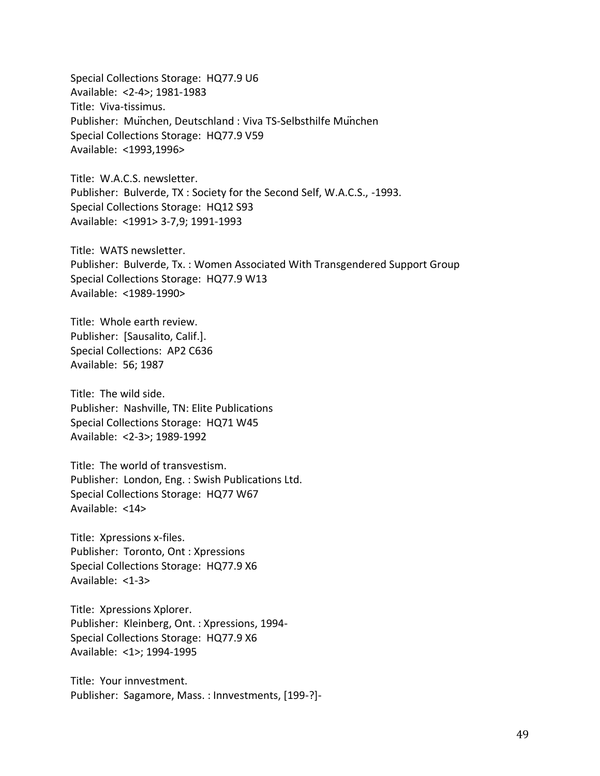Special Collections Storage: HQ77.9 U6 Available: <2-4>; 1981-1983 Title: Viva-tissimus. Publisher: München, Deutschland : Viva TS-Selbsthilfe München Special Collections Storage: HQ77.9 V59 Available: <1993,1996>

Title: W.A.C.S. newsletter. Publisher: Bulverde, TX : Society for the Second Self, W.A.C.S., -1993. Special Collections Storage: HQ12 S93 Available: <1991> 3-7,9; 1991-1993

Title: WATS newsletter. Publisher: Bulverde, Tx. : Women Associated With Transgendered Support Group Special Collections Storage: HQ77.9 W13 Available: <1989-1990>

Title: Whole earth review. Publisher: [Sausalito, Calif.]. Special Collections: AP2 C636 Available: 56; 1987

Title: The wild side. Publisher: Nashville, TN: Elite Publications Special Collections Storage: HQ71 W45 Available: <2-3>; 1989-1992

Title: The world of transvestism. Publisher: London, Eng. : Swish Publications Ltd. Special Collections Storage: HQ77 W67 Available: <14>

Title: Xpressions x-files. Publisher: Toronto, Ont : Xpressions Special Collections Storage: HQ77.9 X6 Available: <1-3>

Title: Xpressions Xplorer. Publisher: Kleinberg, Ont. : Xpressions, 1994- Special Collections Storage: HQ77.9 X6 Available: <1>; 1994-1995

Title: Your innvestment. Publisher: Sagamore, Mass. : Innvestments, [199-?]-